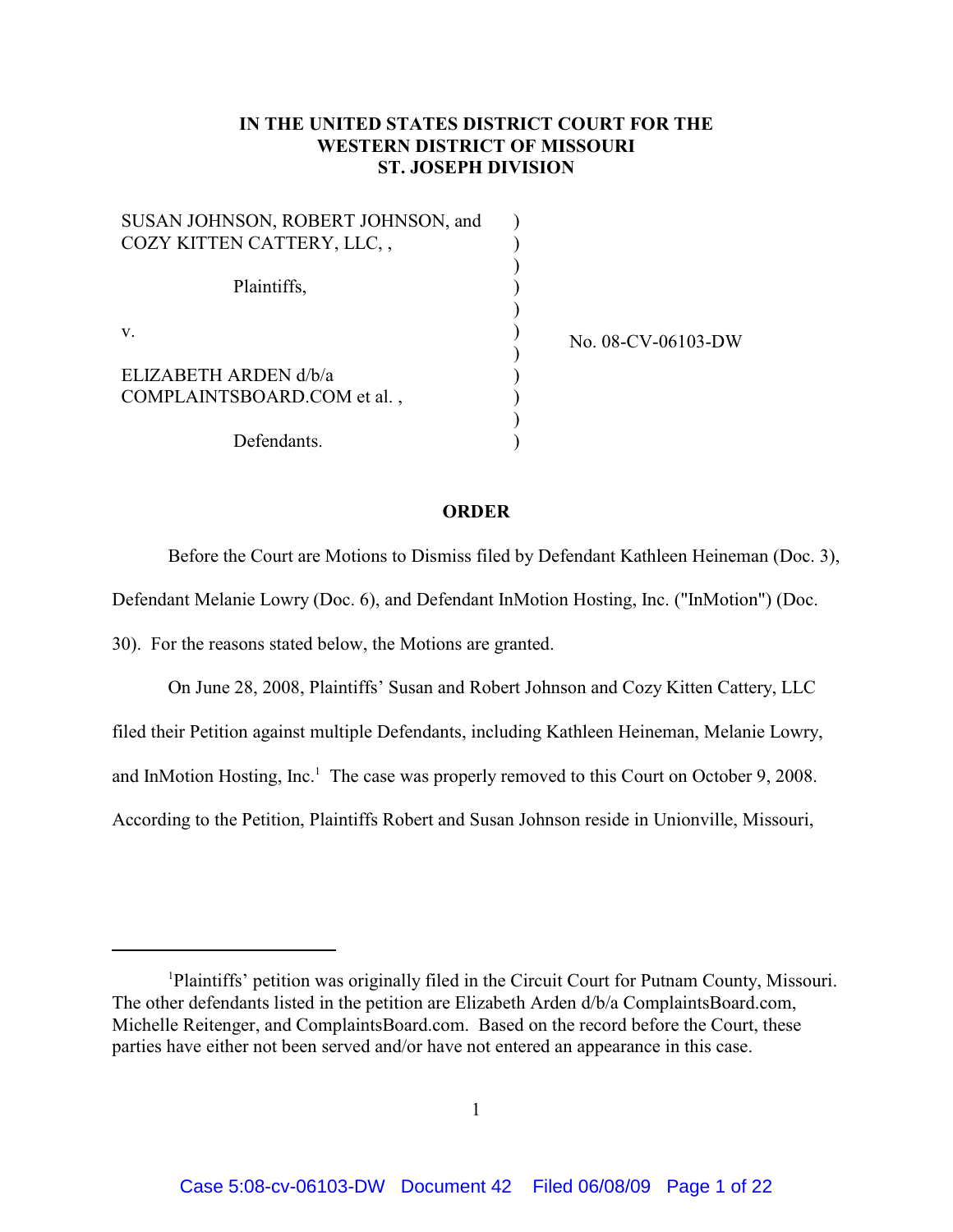## **IN THE UNITED STATES DISTRICT COURT FOR THE WESTERN DISTRICT OF MISSOURI ST. JOSEPH DIVISION**

| SUSAN JOHNSON, ROBERT JOHNSON, and |  |
|------------------------------------|--|
| COZY KITTEN CATTERY, LLC,,         |  |
|                                    |  |
| Plaintiffs,                        |  |
|                                    |  |
| V.                                 |  |
|                                    |  |
| ELIZABETH ARDEN d/b/a              |  |
| COMPLAINTSBOARD.COM et al.,        |  |
|                                    |  |
| Defendants.                        |  |

No. 08-CV-06103-DW

## **ORDER**

Before the Court are Motions to Dismiss filed by Defendant Kathleen Heineman (Doc. 3),

Defendant Melanie Lowry (Doc. 6), and Defendant InMotion Hosting, Inc. ("InMotion") (Doc.

30). For the reasons stated below, the Motions are granted.

On June 28, 2008, Plaintiffs' Susan and Robert Johnson and Cozy Kitten Cattery, LLC filed their Petition against multiple Defendants, including Kathleen Heineman, Melanie Lowry, and InMotion Hosting, Inc.<sup>1</sup> The case was properly removed to this Court on October 9, 2008. According to the Petition, Plaintiffs Robert and Susan Johnson reside in Unionville, Missouri,

Plaintiffs' petition was originally filed in the Circuit Court for Putnam County, Missouri. <sup>1</sup> The other defendants listed in the petition are Elizabeth Arden d/b/a ComplaintsBoard.com, Michelle Reitenger, and ComplaintsBoard.com. Based on the record before the Court, these parties have either not been served and/or have not entered an appearance in this case.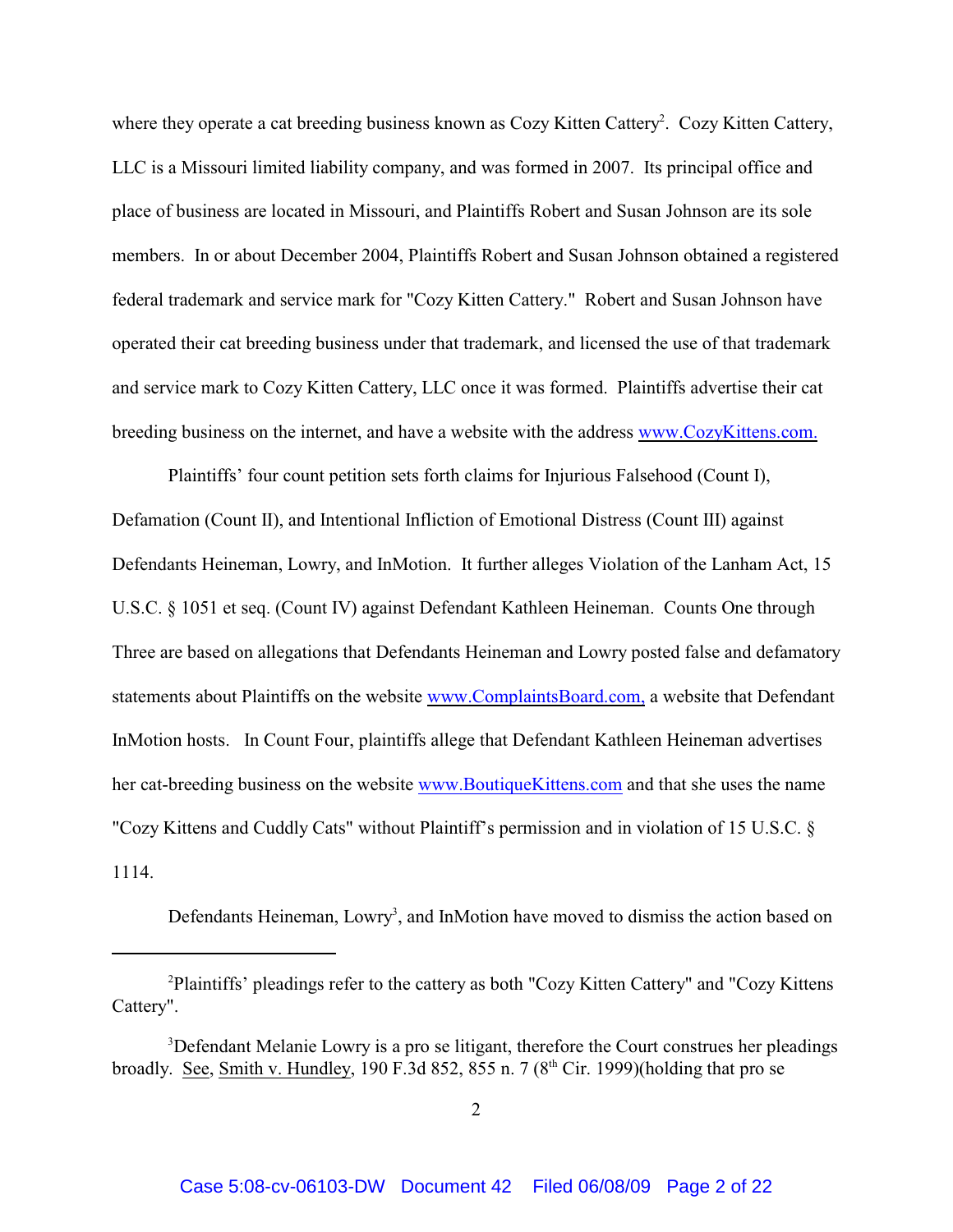where they operate a cat breeding business known as Cozy Kitten Cattery. Cozy Kitten Cattery, LLC is a Missouri limited liability company, and was formed in 2007. Its principal office and place of business are located in Missouri, and Plaintiffs Robert and Susan Johnson are its sole members. In or about December 2004, Plaintiffs Robert and Susan Johnson obtained a registered federal trademark and service mark for "Cozy Kitten Cattery." Robert and Susan Johnson have operated their cat breeding business under that trademark, and licensed the use of that trademark and service mark to Cozy Kitten Cattery, LLC once it was formed. Plaintiffs advertise their cat breeding business on the internet, and have a website with the address [www.CozyKittens.com.](http://www.cozykittens.com.)

Plaintiffs' four count petition sets forth claims for Injurious Falsehood (Count I), Defamation (Count II), and Intentional Infliction of Emotional Distress (Count III) against Defendants Heineman, Lowry, and InMotion. It further alleges Violation of the Lanham Act, 15 U.S.C. § 1051 et seq. (Count IV) against Defendant Kathleen Heineman. Counts One through Three are based on allegations that Defendants Heineman and Lowry posted false and defamatory statements about Plaintiffs on the website [www.ComplaintsBoard.com,](http://www.ComplaintsBoard.com,) a website that Defendant InMotion hosts. In Count Four, plaintiffs allege that Defendant Kathleen Heineman advertises her cat-breeding business on the website [www.BoutiqueKittens.com](http://www.boutiquekittens.com,) and that she uses the name "Cozy Kittens and Cuddly Cats" without Plaintiff's permission and in violation of 15 U.S.C. § 1114.

Defendants Heineman, Lowry<sup>3</sup>, and InMotion have moved to dismiss the action based on

 $P$ laintiffs' pleadings refer to the cattery as both "Cozy Kitten Cattery" and "Cozy Kittens" Cattery".

<sup>&</sup>lt;sup>3</sup>Defendant Melanie Lowry is a pro se litigant, therefore the Court construes her pleadings broadly. See, Smith v. Hundley, 190 F.3d 852, 855 n. 7 (8<sup>th</sup> Cir. 1999)(holding that pro se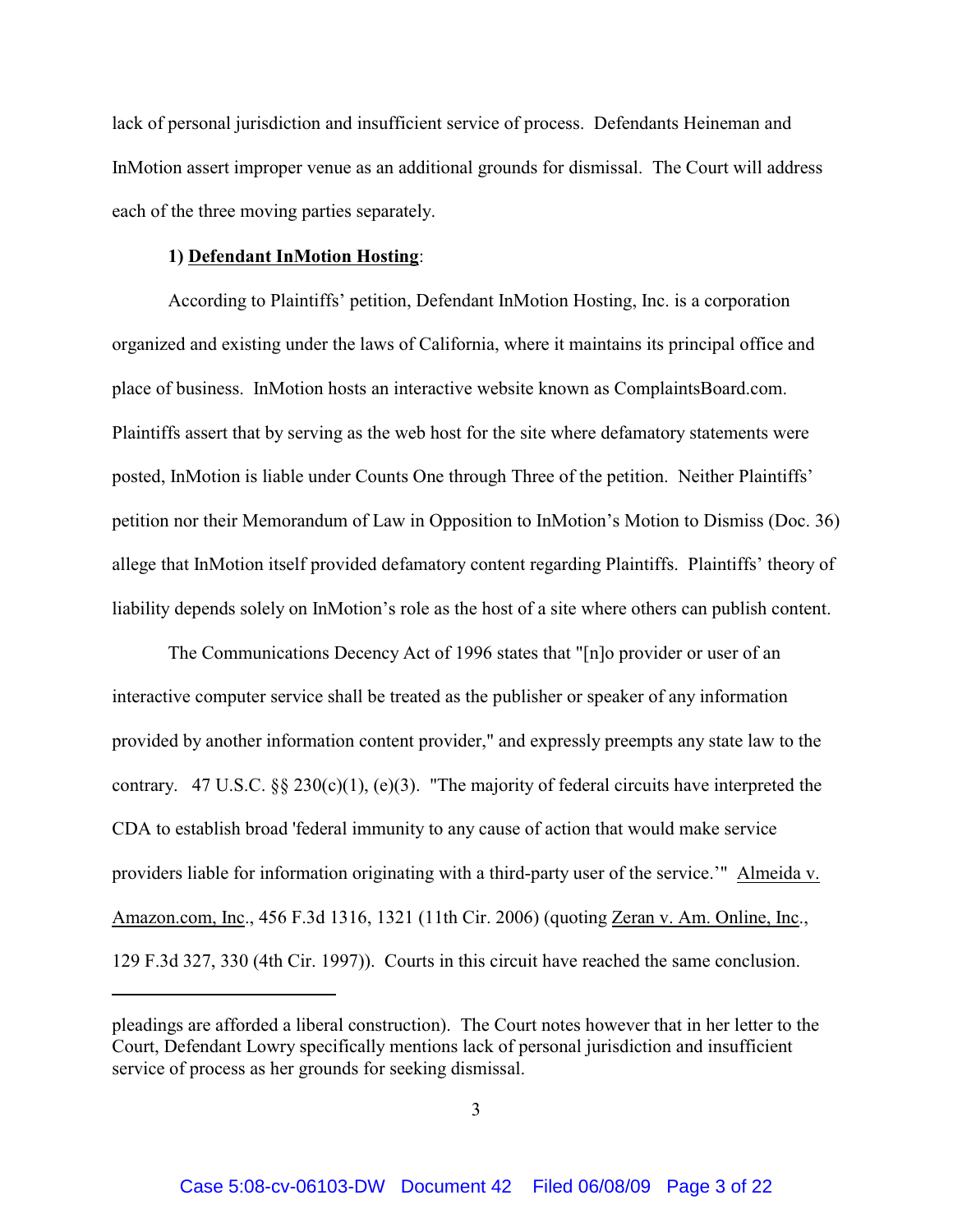lack of personal jurisdiction and insufficient service of process. Defendants Heineman and InMotion assert improper venue as an additional grounds for dismissal. The Court will address each of the three moving parties separately.

## **1) Defendant InMotion Hosting**:

According to Plaintiffs' petition, Defendant InMotion Hosting, Inc. is a corporation organized and existing under the laws of California, where it maintains its principal office and place of business. InMotion hosts an interactive website known as ComplaintsBoard.com. Plaintiffs assert that by serving as the web host for the site where defamatory statements were posted, InMotion is liable under Counts One through Three of the petition. Neither Plaintiffs' petition nor their Memorandum of Law in Opposition to InMotion's Motion to Dismiss (Doc. 36) allege that InMotion itself provided defamatory content regarding Plaintiffs. Plaintiffs' theory of liability depends solely on InMotion's role as the host of a site where others can publish content.

The Communications Decency Act of 1996 states that "[n]o provider or user of an interactive computer service shall be treated as the publisher or speaker of any information provided by another information content provider," and expressly preempts any state law to the contrary. 47 U.S.C. §§ 230(c)(1), (e)(3). "The majority of federal circuits have interpreted the CDA to establish broad 'federal immunity to any cause of action that would make service providers liable for information originating with a third-party user of the service.'" Almeida v. Amazon.com, Inc., 456 F.3d 1316, 1321 (11th Cir. 2006) (quoting Zeran v. Am. Online, Inc., 129 F.3d 327, 330 (4th Cir. 1997)). Courts in this circuit have reached the same conclusion.

pleadings are afforded a liberal construction). The Court notes however that in her letter to the Court, Defendant Lowry specifically mentions lack of personal jurisdiction and insufficient service of process as her grounds for seeking dismissal.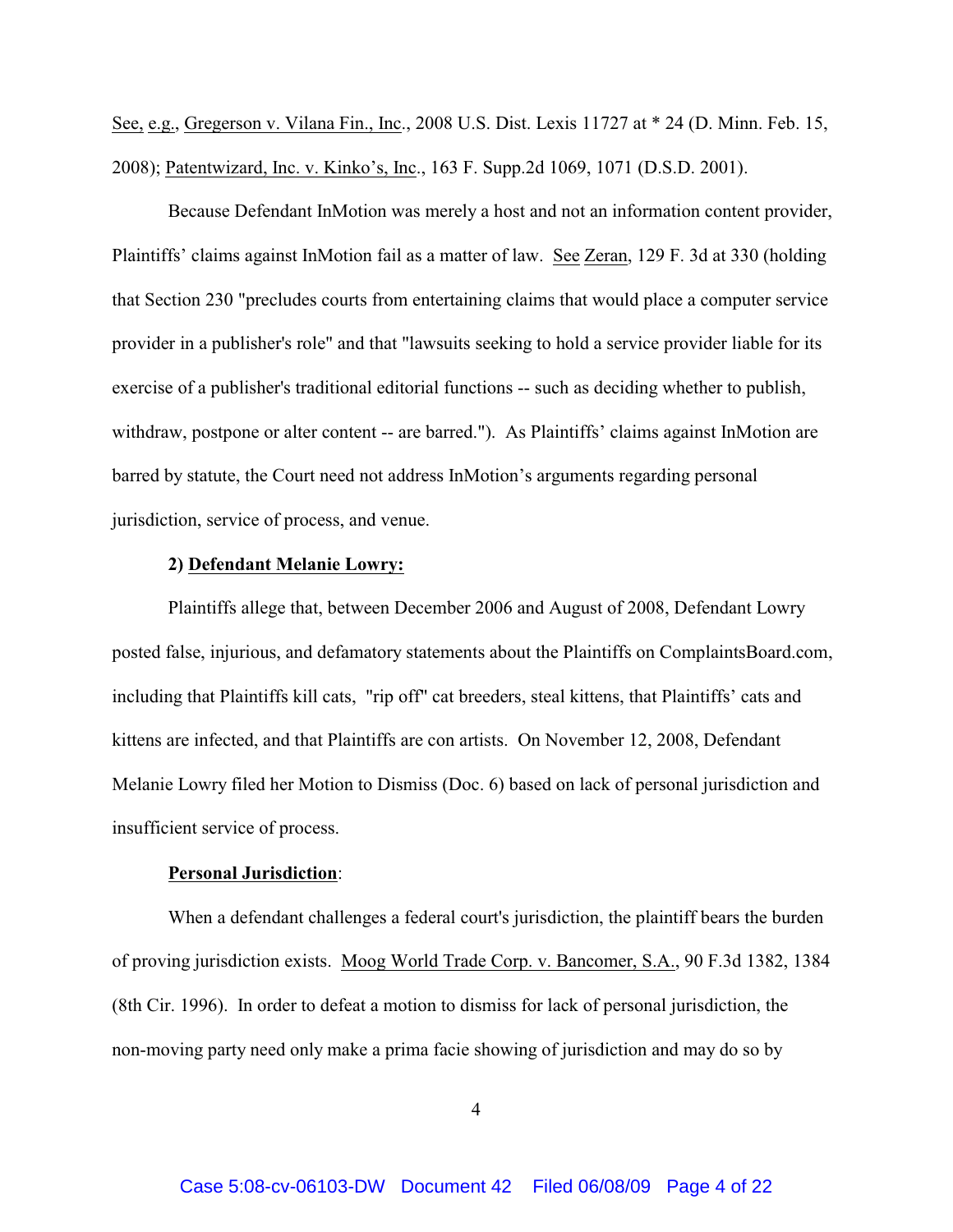See, e.g., Gregerson v. Vilana Fin., Inc., 2008 U.S. Dist. Lexis 11727 at \* 24 (D. Minn. Feb. 15, 2008); Patentwizard, Inc. v. Kinko's, Inc., 163 F. Supp.2d 1069, 1071 (D.S.D. 2001).

Because Defendant InMotion was merely a host and not an information content provider, Plaintiffs' claims against InMotion fail as a matter of law. See Zeran, 129 F. 3d at 330 (holding that Section 230 "precludes courts from entertaining claims that would place a computer service provider in a publisher's role" and that "lawsuits seeking to hold a service provider liable for its exercise of a publisher's traditional editorial functions -- such as deciding whether to publish, withdraw, postpone or alter content -- are barred."). As Plaintiffs' claims against InMotion are barred by statute, the Court need not address InMotion's arguments regarding personal jurisdiction, service of process, and venue.

## **2) Defendant Melanie Lowry:**

Plaintiffs allege that, between December 2006 and August of 2008, Defendant Lowry posted false, injurious, and defamatory statements about the Plaintiffs on ComplaintsBoard.com, including that Plaintiffs kill cats, "rip off" cat breeders, steal kittens, that Plaintiffs' cats and kittens are infected, and that Plaintiffs are con artists. On November 12, 2008, Defendant Melanie Lowry filed her Motion to Dismiss (Doc. 6) based on lack of personal jurisdiction and insufficient service of process.

#### **Personal Jurisdiction**:

When a defendant challenges a federal court's jurisdiction, the plaintiff bears the burden of proving jurisdiction exists. Moog World Trade Corp. v. Bancomer, S.A., 90 F.3d 1382, 1384 (8th Cir. 1996). In order to defeat a motion to dismiss for lack of personal jurisdiction, the non-moving party need only make a prima facie showing of jurisdiction and may do so by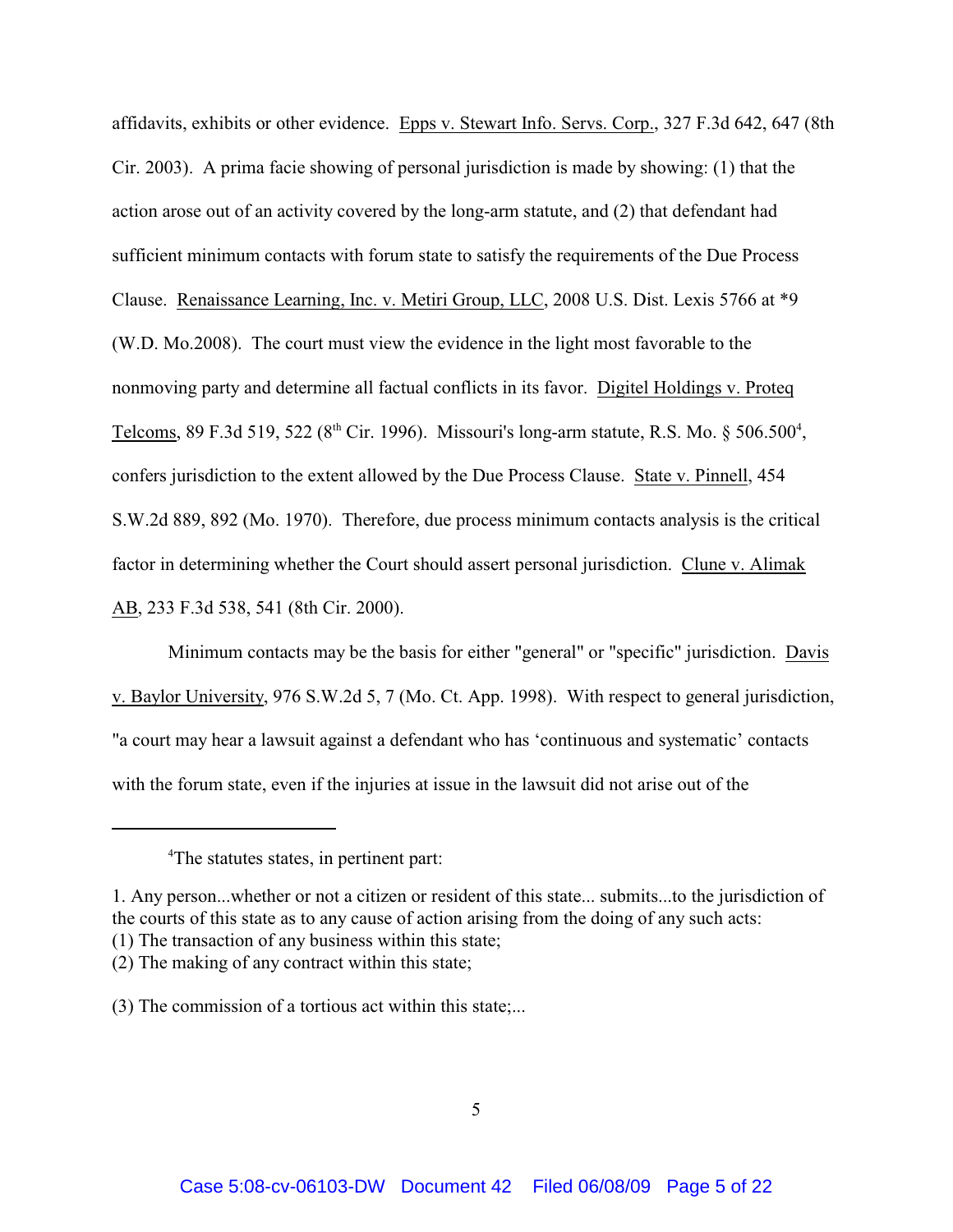affidavits, exhibits or other evidence. Epps v. Stewart Info. Servs. Corp., 327 F.3d 642, 647 (8th Cir. 2003). A prima facie showing of personal jurisdiction is made by showing: (1) that the action arose out of an activity covered by the long-arm statute, and (2) that defendant had sufficient minimum contacts with forum state to satisfy the requirements of the Due Process Clause. Renaissance Learning, Inc. v. Metiri Group, LLC, 2008 U.S. Dist. Lexis 5766 at \*9 (W.D. Mo.2008). The court must view the evidence in the light most favorable to the nonmoving party and determine all factual conflicts in its favor. Digitel Holdings v. Proteq Telcoms, 89 F.3d 519, 522 ( $8<sup>th</sup>$  Cir. 1996). Missouri's long-arm statute, R.S. Mo.  $\S 506.500^4$ , confers jurisdiction to the extent allowed by the Due Process Clause. State v. Pinnell, 454 S.W.2d 889, 892 (Mo. 1970). Therefore, due process minimum contacts analysis is the critical factor in determining whether the Court should assert personal jurisdiction. Clune v. Alimak AB, 233 F.3d 538, 541 (8th Cir. 2000).

Minimum contacts may be the basis for either "general" or "specific" jurisdiction. Davis v. Baylor University, 976 S.W.2d 5, 7 (Mo. Ct. App. 1998). With respect to general jurisdiction, "a court may hear a lawsuit against a defendant who has 'continuous and systematic' contacts with the forum state, even if the injuries at issue in the lawsuit did not arise out of the

<sup>&</sup>lt;sup>4</sup>The statutes states, in pertinent part:

<sup>1.</sup> Any person...whether or not a citizen or resident of this state... submits...to the jurisdiction of the courts of this state as to any cause of action arising from the doing of any such acts:

<sup>(1)</sup> The transaction of any business within this state;

<sup>(2)</sup> The making of any contract within this state;

<sup>(3)</sup> The commission of a tortious act within this state;...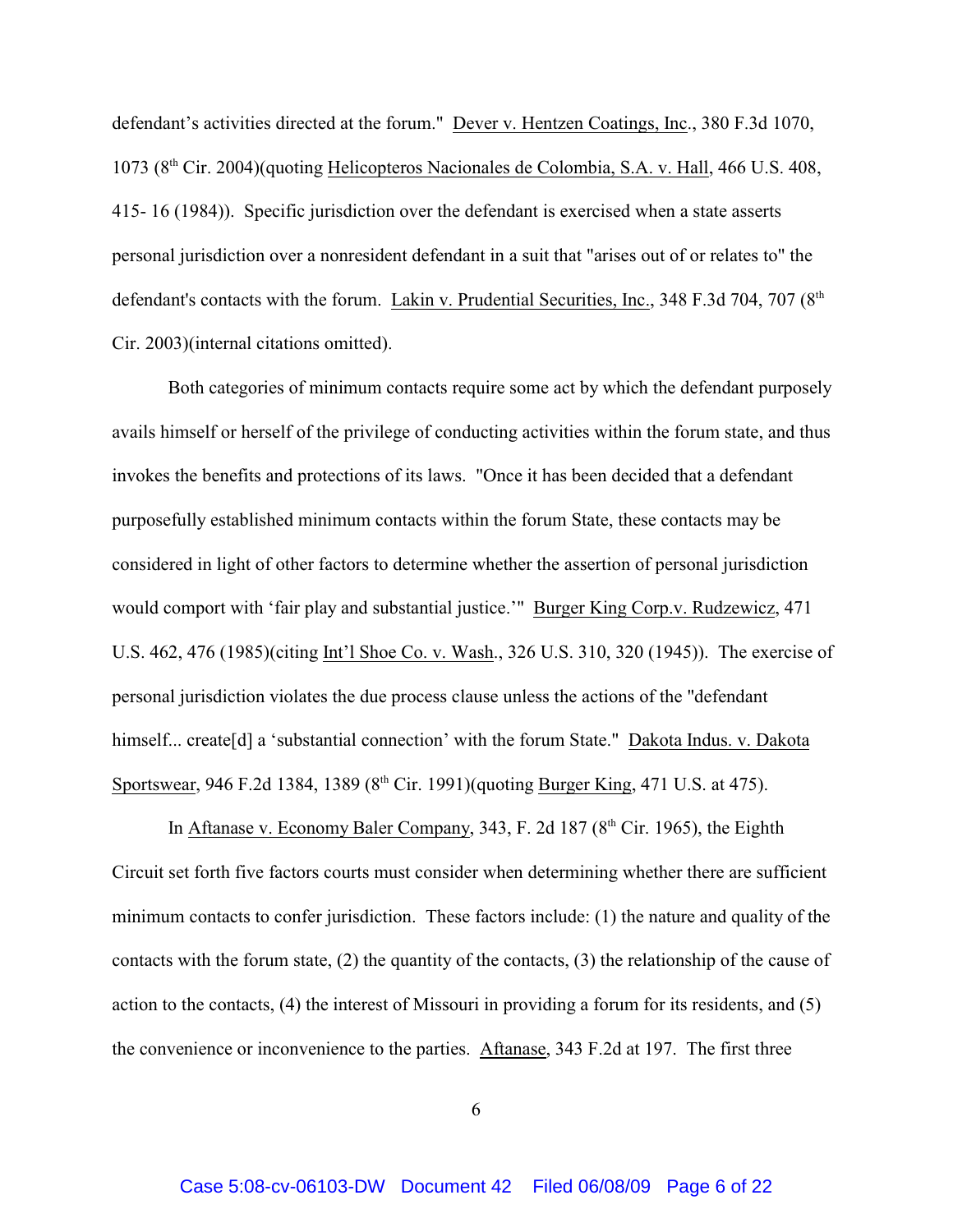defendant's activities directed at the forum." Dever v. Hentzen Coatings, Inc., 380 F.3d 1070,  $1073$  ( $8<sup>th</sup>$  Cir. 2004)(quoting Helicopteros Nacionales de Colombia, S.A. v. Hall, 466 U.S. 408, 415- 16 (1984)). Specific jurisdiction over the defendant is exercised when a state asserts personal jurisdiction over a nonresident defendant in a suit that "arises out of or relates to" the defendant's contacts with the forum. Lakin v. Prudential Securities, Inc., 348 F.3d 704, 707 (8<sup>th</sup>) Cir. 2003)(internal citations omitted).

Both categories of minimum contacts require some act by which the defendant purposely avails himself or herself of the privilege of conducting activities within the forum state, and thus invokes the benefits and protections of its laws. "Once it has been decided that a defendant purposefully established minimum contacts within the forum State, these contacts may be considered in light of other factors to determine whether the assertion of personal jurisdiction would comport with 'fair play and substantial justice.'" Burger King Corp.v. Rudzewicz, 471 U.S. 462, 476 (1985)(citing Int'l Shoe Co. v. Wash., 326 U.S. 310, 320 (1945)). The exercise of personal jurisdiction violates the due process clause unless the actions of the "defendant himself... create [d] a 'substantial connection' with the forum State." Dakota Indus. v. Dakota Sportswear, 946 F.2d 1384, 1389 ( $8<sup>th</sup>$  Cir. 1991)(quoting Burger King, 471 U.S. at 475).

In Aftanase v. Economy Baler Company, 343, F. 2d 187 ( $8<sup>th</sup>$  Cir. 1965), the Eighth Circuit set forth five factors courts must consider when determining whether there are sufficient minimum contacts to confer jurisdiction. These factors include: (1) the nature and quality of the contacts with the forum state, (2) the quantity of the contacts, (3) the relationship of the cause of action to the contacts, (4) the interest of Missouri in providing a forum for its residents, and (5) the convenience or inconvenience to the parties. Aftanase, 343 F.2d at 197. The first three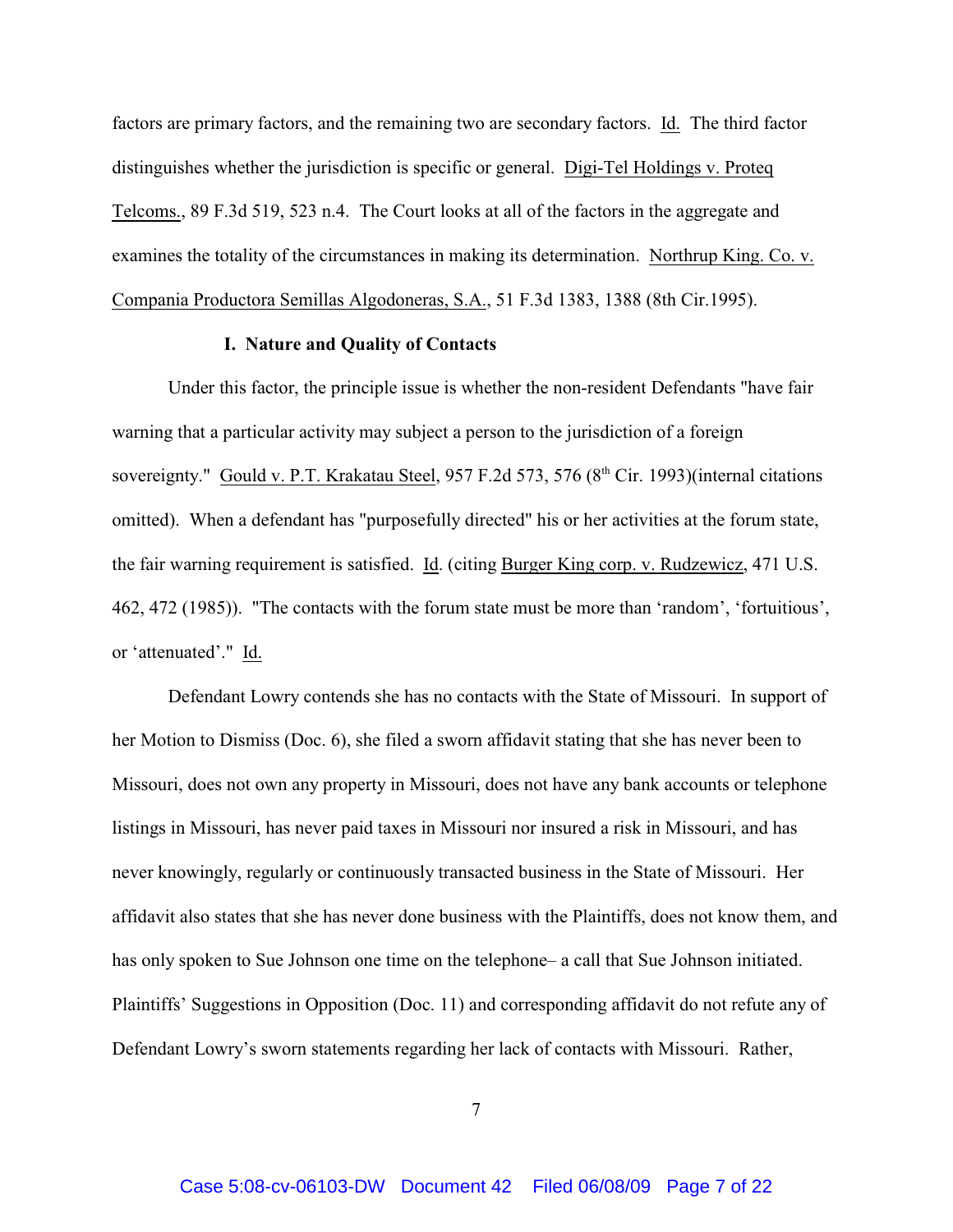factors are primary factors, and the remaining two are secondary factors. Id. The third factor distinguishes whether the jurisdiction is specific or general. Digi-Tel Holdings v. Proteq Telcoms., 89 F.3d 519, 523 n.4. The Court looks at all of the factors in the aggregate and examines the totality of the circumstances in making its determination. Northrup King. Co. v. Compania Productora Semillas Algodoneras, S.A., 51 F.3d 1383, 1388 (8th Cir.1995).

### **I. Nature and Quality of Contacts**

Under this factor, the principle issue is whether the non-resident Defendants "have fair warning that a particular activity may subject a person to the jurisdiction of a foreign sovereignty." Gould v. P.T. Krakatau Steel, 957 F.2d 573, 576 (8<sup>th</sup> Cir. 1993)(internal citations omitted). When a defendant has "purposefully directed" his or her activities at the forum state, the fair warning requirement is satisfied. Id. (citing Burger King corp. v. Rudzewicz, 471 U.S. 462, 472 (1985)). "The contacts with the forum state must be more than 'random', 'fortuitious', or 'attenuated'." Id.

Defendant Lowry contends she has no contacts with the State of Missouri. In support of her Motion to Dismiss (Doc. 6), she filed a sworn affidavit stating that she has never been to Missouri, does not own any property in Missouri, does not have any bank accounts or telephone listings in Missouri, has never paid taxes in Missouri nor insured a risk in Missouri, and has never knowingly, regularly or continuously transacted business in the State of Missouri. Her affidavit also states that she has never done business with the Plaintiffs, does not know them, and has only spoken to Sue Johnson one time on the telephone– a call that Sue Johnson initiated. Plaintiffs' Suggestions in Opposition (Doc. 11) and corresponding affidavit do not refute any of Defendant Lowry's sworn statements regarding her lack of contacts with Missouri. Rather,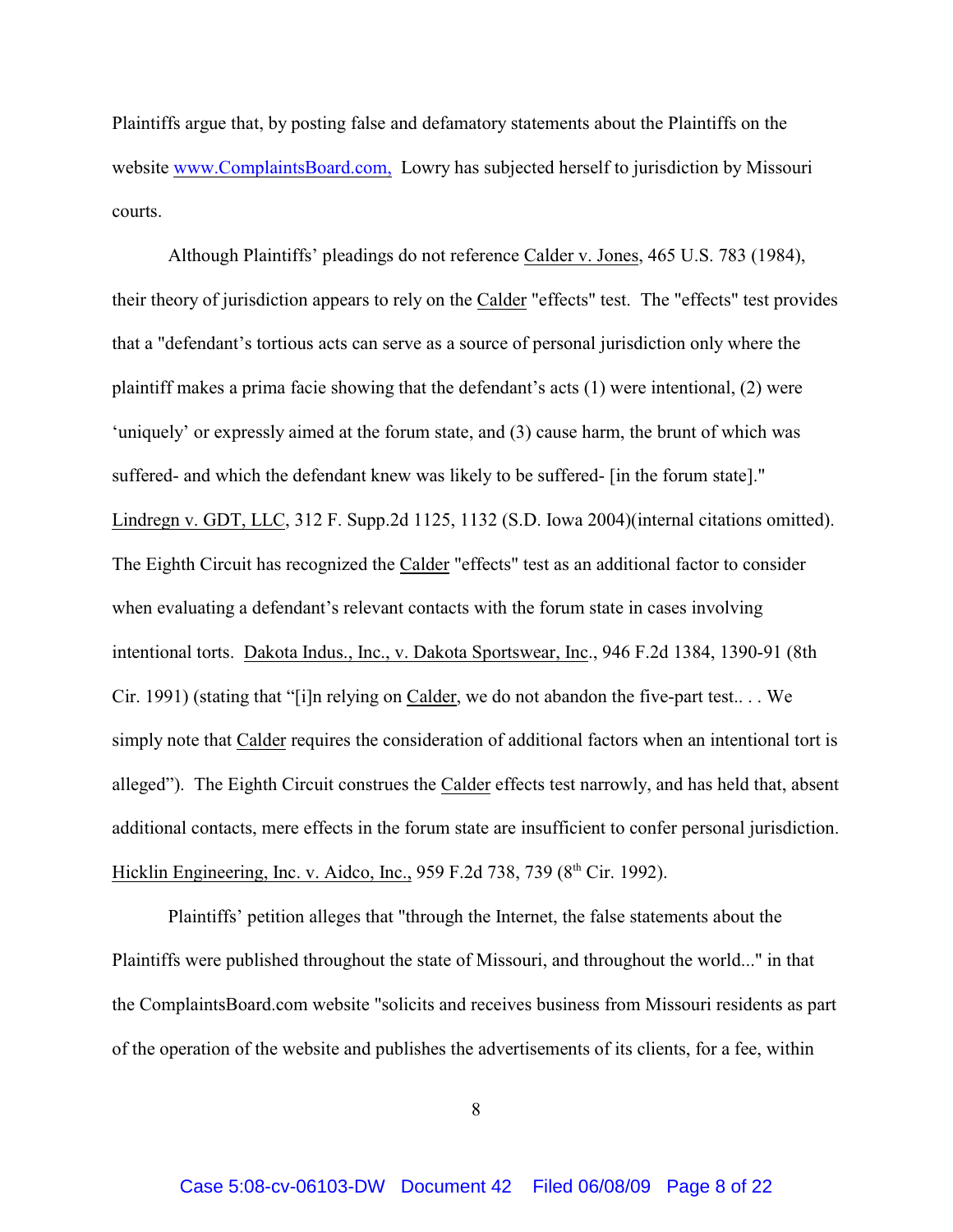Plaintiffs argue that, by posting false and defamatory statements about the Plaintiffs on the website [www.ComplaintsBoard.com,](http://www.ComplaintsBoard.com,) Lowry has subjected herself to jurisdiction by Missouri courts.

Although Plaintiffs' pleadings do not reference Calder v. Jones, 465 U.S. 783 (1984), their theory of jurisdiction appears to rely on the Calder "effects" test. The "effects" test provides that a "defendant's tortious acts can serve as a source of personal jurisdiction only where the plaintiff makes a prima facie showing that the defendant's acts (1) were intentional, (2) were 'uniquely' or expressly aimed at the forum state, and (3) cause harm, the brunt of which was suffered- and which the defendant knew was likely to be suffered- [in the forum state]." Lindregn v. GDT, LLC, 312 F. Supp.2d 1125, 1132 (S.D. Iowa 2004)(internal citations omitted). The Eighth Circuit has recognized the Calder "effects" test as an additional factor to consider when evaluating a defendant's relevant contacts with the forum state in cases involving intentional torts. Dakota Indus., Inc., v. Dakota Sportswear, Inc., 946 F.2d 1384, 1390-91 (8th Cir. 1991) (stating that "[i]n relying on Calder, we do not abandon the five-part test.. . . We simply note that Calder requires the consideration of additional factors when an intentional tort is alleged"). The Eighth Circuit construes the Calder effects test narrowly, and has held that, absent additional contacts, mere effects in the forum state are insufficient to confer personal jurisdiction. Hicklin Engineering, Inc. v. Aidco, Inc., 959 F.2d 738, 739 ( $8<sup>th</sup>$  Cir. 1992).

Plaintiffs' petition alleges that "through the Internet, the false statements about the Plaintiffs were published throughout the state of Missouri, and throughout the world..." in that the ComplaintsBoard.com website "solicits and receives business from Missouri residents as part of the operation of the website and publishes the advertisements of its clients, for a fee, within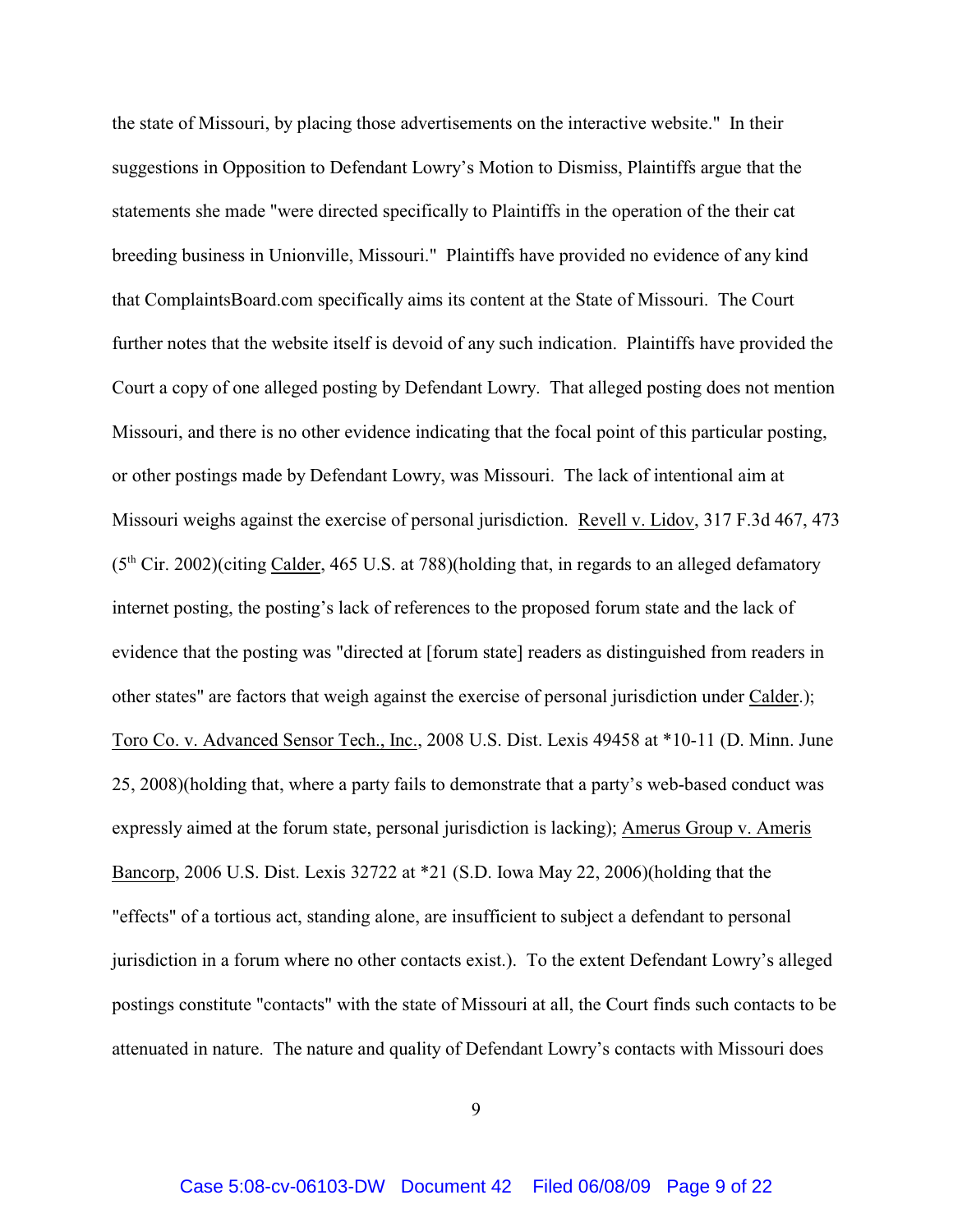the state of Missouri, by placing those advertisements on the interactive website." In their suggestions in Opposition to Defendant Lowry's Motion to Dismiss, Plaintiffs argue that the statements she made "were directed specifically to Plaintiffs in the operation of the their cat breeding business in Unionville, Missouri." Plaintiffs have provided no evidence of any kind that ComplaintsBoard.com specifically aims its content at the State of Missouri. The Court further notes that the website itself is devoid of any such indication. Plaintiffs have provided the Court a copy of one alleged posting by Defendant Lowry. That alleged posting does not mention Missouri, and there is no other evidence indicating that the focal point of this particular posting, or other postings made by Defendant Lowry, was Missouri. The lack of intentional aim at Missouri weighs against the exercise of personal jurisdiction. Revell v. Lidov, 317 F.3d 467, 473  $(5<sup>th</sup> Cir. 2002)$ (citing Calder, 465 U.S. at 788)(holding that, in regards to an alleged defamatory internet posting, the posting's lack of references to the proposed forum state and the lack of evidence that the posting was "directed at [forum state] readers as distinguished from readers in other states" are factors that weigh against the exercise of personal jurisdiction under Calder.); Toro Co. v. Advanced Sensor Tech., Inc., 2008 U.S. Dist. Lexis 49458 at \*10-11 (D. Minn. June 25, 2008)(holding that, where a party fails to demonstrate that a party's web-based conduct was expressly aimed at the forum state, personal jurisdiction is lacking); Amerus Group v. Ameris Bancorp, 2006 U.S. Dist. Lexis 32722 at \*21 (S.D. Iowa May 22, 2006)(holding that the "effects" of a tortious act, standing alone, are insufficient to subject a defendant to personal jurisdiction in a forum where no other contacts exist.). To the extent Defendant Lowry's alleged postings constitute "contacts" with the state of Missouri at all, the Court finds such contacts to be attenuated in nature. The nature and quality of Defendant Lowry's contacts with Missouri does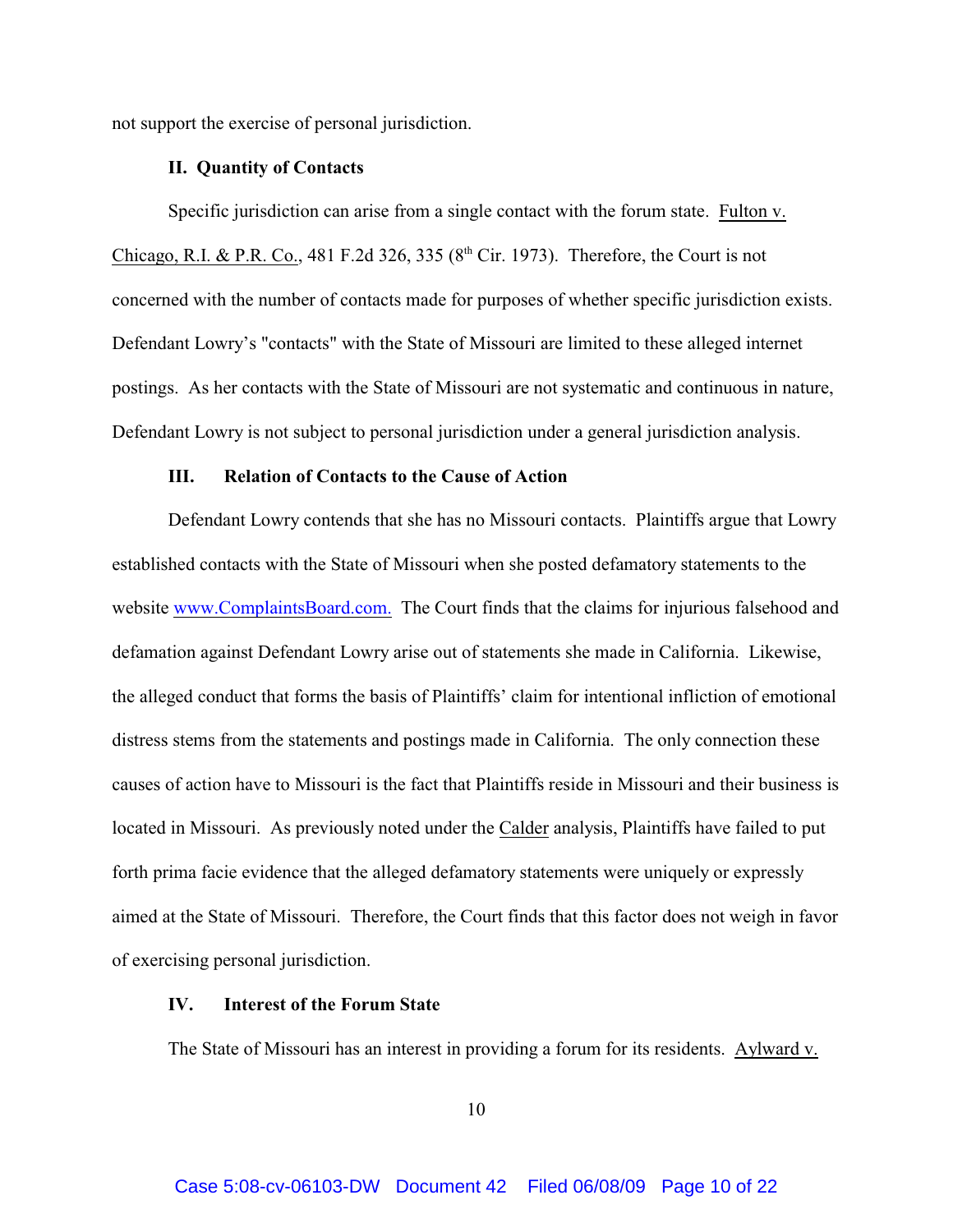not support the exercise of personal jurisdiction.

## **II. Quantity of Contacts**

Specific jurisdiction can arise from a single contact with the forum state. Fulton v. Chicago, R.I. & P.R. Co., 481 F.2d 326, 335 ( $8<sup>th</sup>$  Cir. 1973). Therefore, the Court is not concerned with the number of contacts made for purposes of whether specific jurisdiction exists. Defendant Lowry's "contacts" with the State of Missouri are limited to these alleged internet postings. As her contacts with the State of Missouri are not systematic and continuous in nature, Defendant Lowry is not subject to personal jurisdiction under a general jurisdiction analysis.

## **III. Relation of Contacts to the Cause of Action**

Defendant Lowry contends that she has no Missouri contacts. Plaintiffs argue that Lowry established contacts with the State of Missouri when she posted defamatory statements to the website [www.ComplaintsBoard.com.](http://www.complaintsboard.com.) The Court finds that the claims for injurious falsehood and defamation against Defendant Lowry arise out of statements she made in California. Likewise, the alleged conduct that forms the basis of Plaintiffs' claim for intentional infliction of emotional distress stems from the statements and postings made in California. The only connection these causes of action have to Missouri is the fact that Plaintiffs reside in Missouri and their business is located in Missouri. As previously noted under the Calder analysis, Plaintiffs have failed to put forth prima facie evidence that the alleged defamatory statements were uniquely or expressly aimed at the State of Missouri. Therefore, the Court finds that this factor does not weigh in favor of exercising personal jurisdiction.

## **IV. Interest of the Forum State**

The State of Missouri has an interest in providing a forum for its residents. Aylward v.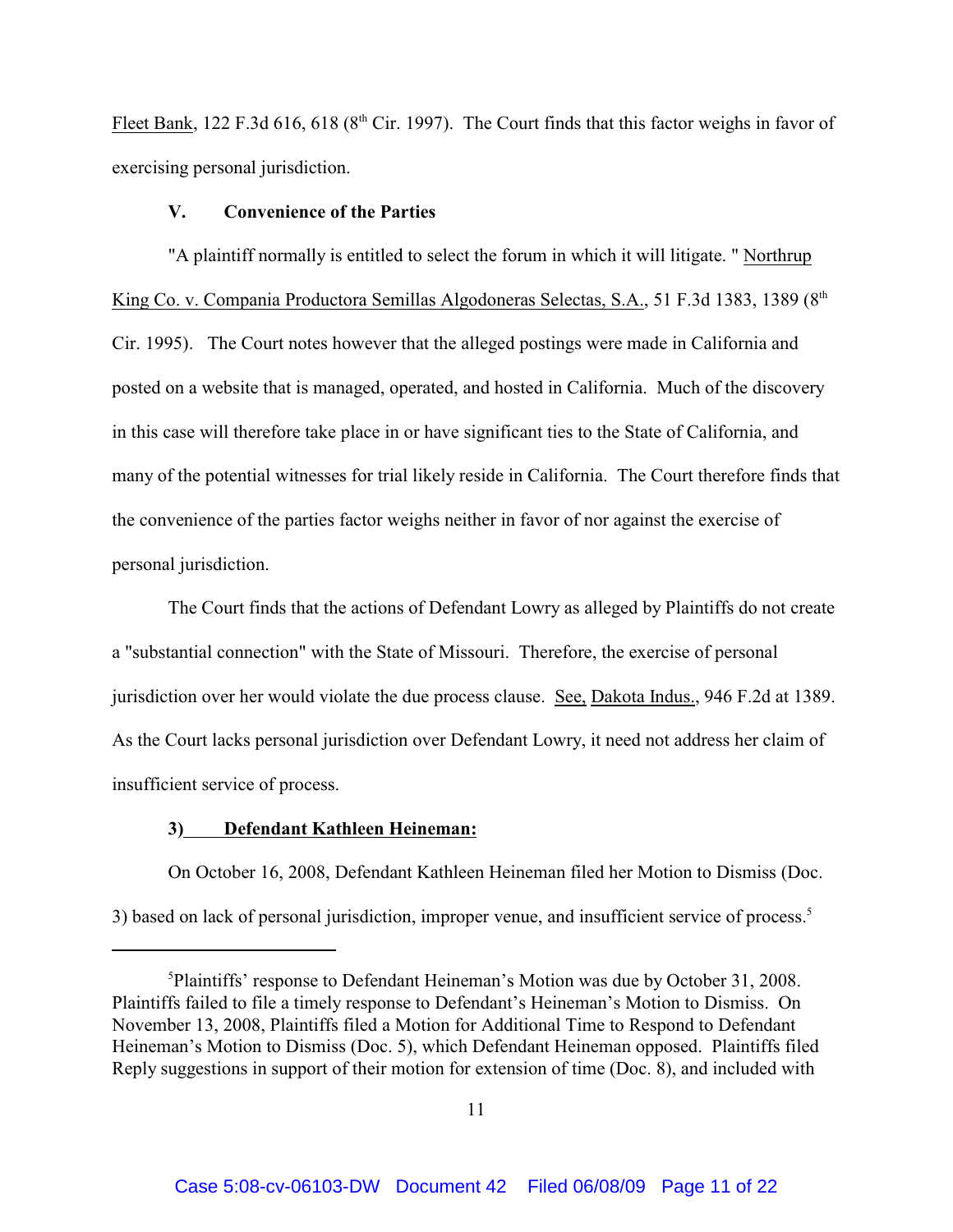Fleet Bank, 122 F.3d 616, 618 ( $8<sup>th</sup>$  Cir. 1997). The Court finds that this factor weighs in favor of exercising personal jurisdiction.

#### **V. Convenience of the Parties**

"A plaintiff normally is entitled to select the forum in which it will litigate. " Northrup King Co. v. Compania Productora Semillas Algodoneras Selectas, S.A., 51 F.3d 1383, 1389 (8<sup>th</sup> Cir. 1995). The Court notes however that the alleged postings were made in California and posted on a website that is managed, operated, and hosted in California. Much of the discovery in this case will therefore take place in or have significant ties to the State of California, and many of the potential witnesses for trial likely reside in California. The Court therefore finds that the convenience of the parties factor weighs neither in favor of nor against the exercise of personal jurisdiction.

The Court finds that the actions of Defendant Lowry as alleged by Plaintiffs do not create a "substantial connection" with the State of Missouri. Therefore, the exercise of personal jurisdiction over her would violate the due process clause. See, Dakota Indus., 946 F.2d at 1389. As the Court lacks personal jurisdiction over Defendant Lowry, it need not address her claim of insufficient service of process.

## **3) Defendant Kathleen Heineman:**

On October 16, 2008, Defendant Kathleen Heineman filed her Motion to Dismiss (Doc. 3) based on lack of personal jurisdiction, improper venue, and insufficient service of process. 5

<sup>&</sup>lt;sup>5</sup>Plaintiffs' response to Defendant Heineman's Motion was due by October 31, 2008. Plaintiffs failed to file a timely response to Defendant's Heineman's Motion to Dismiss. On November 13, 2008, Plaintiffs filed a Motion for Additional Time to Respond to Defendant Heineman's Motion to Dismiss (Doc. 5), which Defendant Heineman opposed. Plaintiffs filed Reply suggestions in support of their motion for extension of time (Doc. 8), and included with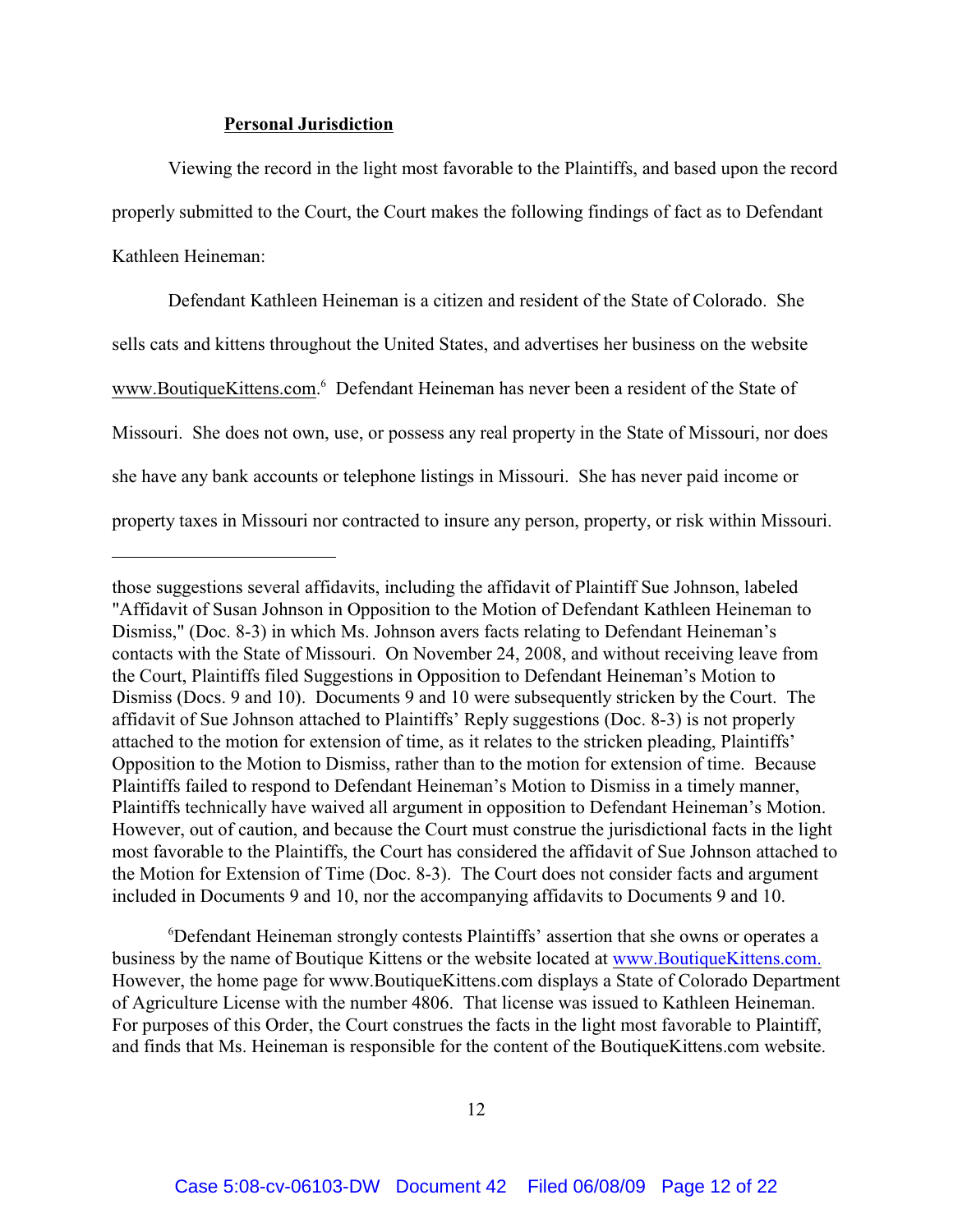#### **Personal Jurisdiction**

Viewing the record in the light most favorable to the Plaintiffs, and based upon the record properly submitted to the Court, the Court makes the following findings of fact as to Defendant Kathleen Heineman:

Defendant Kathleen Heineman is a citizen and resident of the State of Colorado. She sells cats and kittens throughout the United States, and advertises her business on the website www.BoutiqueKittens.com.<sup>6</sup> Defendant Heineman has never been a resident of the State of Missouri. She does not own, use, or possess any real property in the State of Missouri, nor does she have any bank accounts or telephone listings in Missouri. She has never paid income or property taxes in Missouri nor contracted to insure any person, property, or risk within Missouri.

Defendant Heineman strongly contests Plaintiffs' assertion that she owns or operates a <sup>6</sup> business by the name of Boutique Kittens or the website located at [www.BoutiqueKittens.com.](http://www.boutiquekittens.com.) However, the home page for www.BoutiqueKittens.com displays a State of Colorado Department of Agriculture License with the number 4806. That license was issued to Kathleen Heineman. For purposes of this Order, the Court construes the facts in the light most favorable to Plaintiff, and finds that Ms. Heineman is responsible for the content of the BoutiqueKittens.com website.

those suggestions several affidavits, including the affidavit of Plaintiff Sue Johnson, labeled "Affidavit of Susan Johnson in Opposition to the Motion of Defendant Kathleen Heineman to Dismiss," (Doc. 8-3) in which Ms. Johnson avers facts relating to Defendant Heineman's contacts with the State of Missouri. On November 24, 2008, and without receiving leave from the Court, Plaintiffs filed Suggestions in Opposition to Defendant Heineman's Motion to Dismiss (Docs. 9 and 10). Documents 9 and 10 were subsequently stricken by the Court. The affidavit of Sue Johnson attached to Plaintiffs' Reply suggestions (Doc. 8-3) is not properly attached to the motion for extension of time, as it relates to the stricken pleading, Plaintiffs' Opposition to the Motion to Dismiss, rather than to the motion for extension of time. Because Plaintiffs failed to respond to Defendant Heineman's Motion to Dismiss in a timely manner, Plaintiffs technically have waived all argument in opposition to Defendant Heineman's Motion. However, out of caution, and because the Court must construe the jurisdictional facts in the light most favorable to the Plaintiffs, the Court has considered the affidavit of Sue Johnson attached to the Motion for Extension of Time (Doc. 8-3). The Court does not consider facts and argument included in Documents 9 and 10, nor the accompanying affidavits to Documents 9 and 10.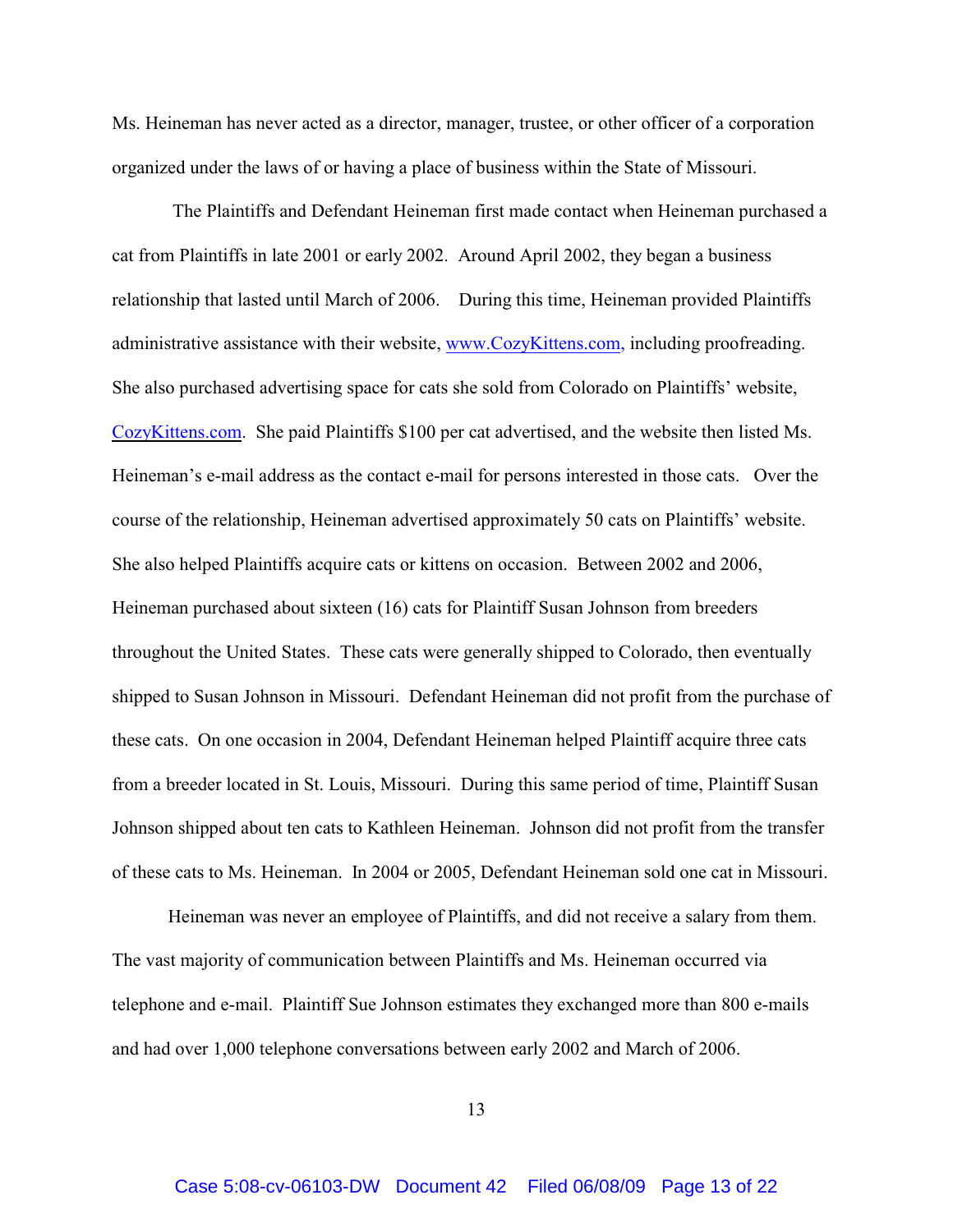Ms. Heineman has never acted as a director, manager, trustee, or other officer of a corporation organized under the laws of or having a place of business within the State of Missouri.

 The Plaintiffs and Defendant Heineman first made contact when Heineman purchased a cat from Plaintiffs in late 2001 or early 2002. Around April 2002, they began a business relationship that lasted until March of 2006. During this time, Heineman provided Plaintiffs administrative assistance with their website, [www.CozyKittens.com,](http://www.cozykittens.com,) including proofreading. She also purchased advertising space for cats she sold from Colorado on Plaintiffs' website, [CozyKittens.com](http://www.CozyKittens.com.). She paid Plaintiffs \$100 per cat advertised, and the website then listed Ms. Heineman's e-mail address as the contact e-mail for persons interested in those cats. Over the course of the relationship, Heineman advertised approximately 50 cats on Plaintiffs' website. She also helped Plaintiffs acquire cats or kittens on occasion. Between 2002 and 2006, Heineman purchased about sixteen (16) cats for Plaintiff Susan Johnson from breeders throughout the United States. These cats were generally shipped to Colorado, then eventually shipped to Susan Johnson in Missouri. Defendant Heineman did not profit from the purchase of these cats. On one occasion in 2004, Defendant Heineman helped Plaintiff acquire three cats from a breeder located in St. Louis, Missouri. During this same period of time, Plaintiff Susan Johnson shipped about ten cats to Kathleen Heineman. Johnson did not profit from the transfer of these cats to Ms. Heineman. In 2004 or 2005, Defendant Heineman sold one cat in Missouri.

Heineman was never an employee of Plaintiffs, and did not receive a salary from them. The vast majority of communication between Plaintiffs and Ms. Heineman occurred via telephone and e-mail. Plaintiff Sue Johnson estimates they exchanged more than 800 e-mails and had over 1,000 telephone conversations between early 2002 and March of 2006.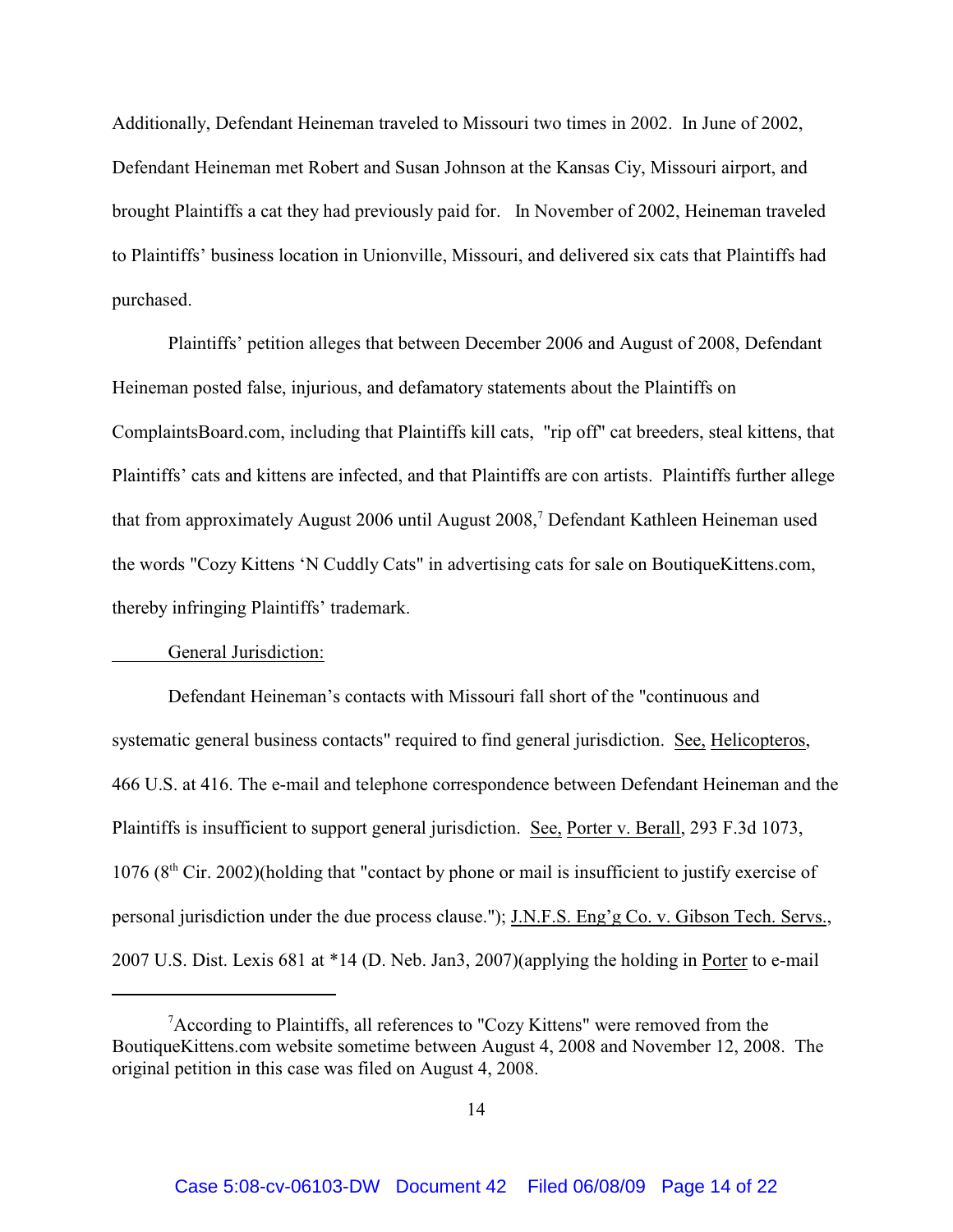Additionally, Defendant Heineman traveled to Missouri two times in 2002. In June of 2002, Defendant Heineman met Robert and Susan Johnson at the Kansas Ciy, Missouri airport, and brought Plaintiffs a cat they had previously paid for. In November of 2002, Heineman traveled to Plaintiffs' business location in Unionville, Missouri, and delivered six cats that Plaintiffs had purchased.

Plaintiffs' petition alleges that between December 2006 and August of 2008, Defendant Heineman posted false, injurious, and defamatory statements about the Plaintiffs on ComplaintsBoard.com, including that Plaintiffs kill cats, "rip off" cat breeders, steal kittens, that Plaintiffs' cats and kittens are infected, and that Plaintiffs are con artists. Plaintiffs further allege that from approximately August 2006 until August 2008,<sup>7</sup> Defendant Kathleen Heineman used the words "Cozy Kittens 'N Cuddly Cats" in advertising cats for sale on BoutiqueKittens.com, thereby infringing Plaintiffs' trademark.

### General Jurisdiction:

Defendant Heineman's contacts with Missouri fall short of the "continuous and systematic general business contacts" required to find general jurisdiction. See, Helicopteros, 466 U.S. at 416. The e-mail and telephone correspondence between Defendant Heineman and the Plaintiffs is insufficient to support general jurisdiction. See, Porter v. Berall, 293 F.3d 1073,  $1076 (8<sup>th</sup> Cir. 2002)$ (holding that "contact by phone or mail is insufficient to justify exercise of personal jurisdiction under the due process clause."); J.N.F.S. Eng'g Co. v. Gibson Tech. Servs., 2007 U.S. Dist. Lexis 681 at \*14 (D. Neb. Jan3, 2007)(applying the holding in Porter to e-mail

 $\alpha$ <sup>7</sup> According to Plaintiffs, all references to "Cozy Kittens" were removed from the BoutiqueKittens.com website sometime between August 4, 2008 and November 12, 2008. The original petition in this case was filed on August 4, 2008.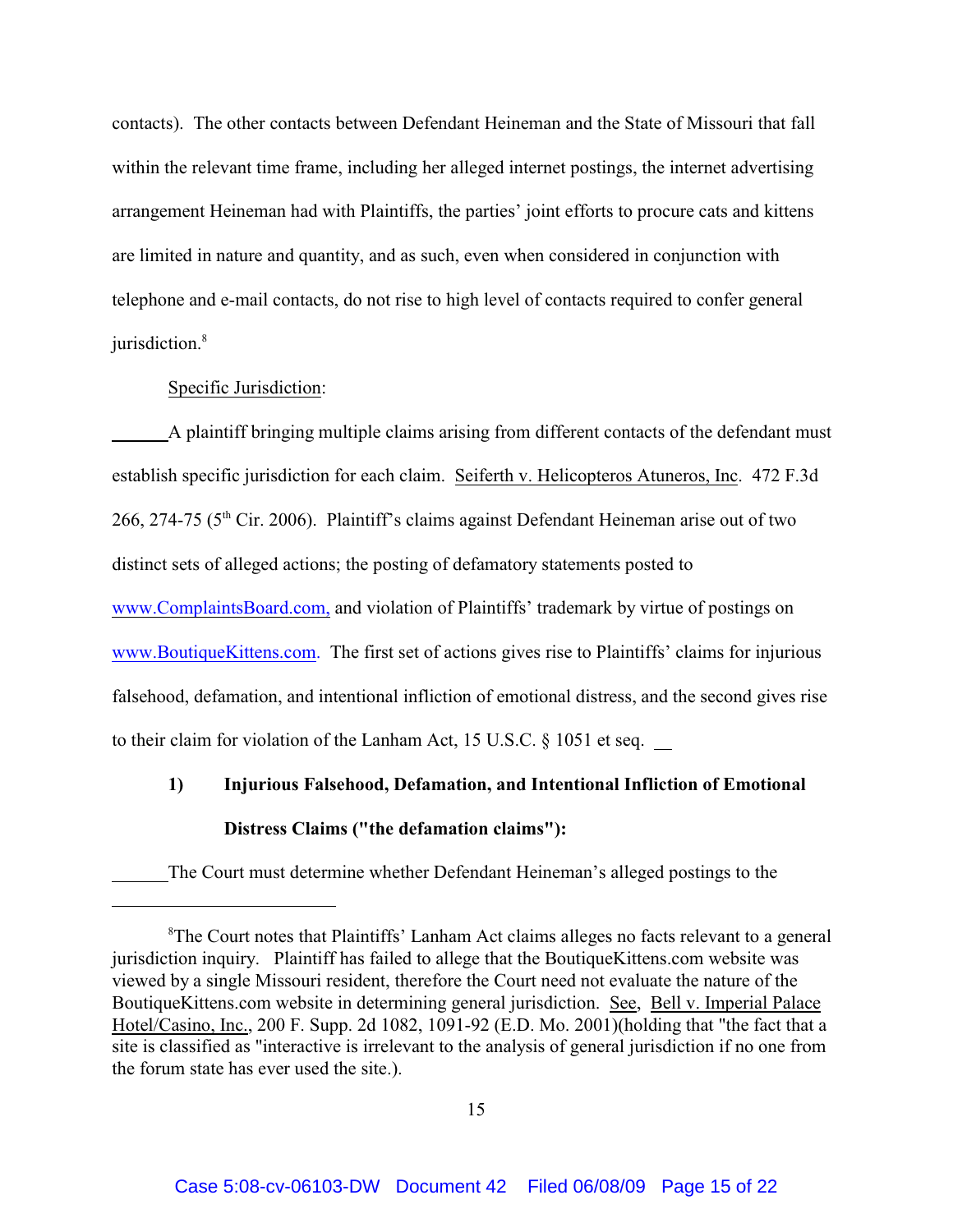contacts). The other contacts between Defendant Heineman and the State of Missouri that fall within the relevant time frame, including her alleged internet postings, the internet advertising arrangement Heineman had with Plaintiffs, the parties' joint efforts to procure cats and kittens are limited in nature and quantity, and as such, even when considered in conjunction with telephone and e-mail contacts, do not rise to high level of contacts required to confer general jurisdiction.<sup>8</sup>

## Specific Jurisdiction:

A plaintiff bringing multiple claims arising from different contacts of the defendant must establish specific jurisdiction for each claim. Seiferth v. Helicopteros Atuneros, Inc. 472 F.3d  $266$ ,  $274-75$  ( $5<sup>th</sup>$  Cir. 2006). Plaintiff's claims against Defendant Heineman arise out of two distinct sets of alleged actions; the posting of defamatory statements posted to [www.ComplaintsBoard.com,](http://www.ComplaintsBoard.com,) and violation of Plaintiffs' trademark by virtue of postings on [www.BoutiqueKittens.com.](http://www.Boutiquekittens.com.) The first set of actions gives rise to Plaintiffs' claims for injurious falsehood, defamation, and intentional infliction of emotional distress, and the second gives rise to their claim for violation of the Lanham Act, 15 U.S.C. § 1051 et seq.

# **1) Injurious Falsehood, Defamation, and Intentional Infliction of Emotional Distress Claims ("the defamation claims"):**

The Court must determine whether Defendant Heineman's alleged postings to the

<sup>&</sup>lt;sup>8</sup>The Court notes that Plaintiffs' Lanham Act claims alleges no facts relevant to a general jurisdiction inquiry. Plaintiff has failed to allege that the BoutiqueKittens.com website was viewed by a single Missouri resident, therefore the Court need not evaluate the nature of the BoutiqueKittens.com website in determining general jurisdiction. See, Bell v. Imperial Palace Hotel/Casino, Inc., 200 F. Supp. 2d 1082, 1091-92 (E.D. Mo. 2001)(holding that "the fact that a site is classified as "interactive is irrelevant to the analysis of general jurisdiction if no one from the forum state has ever used the site.).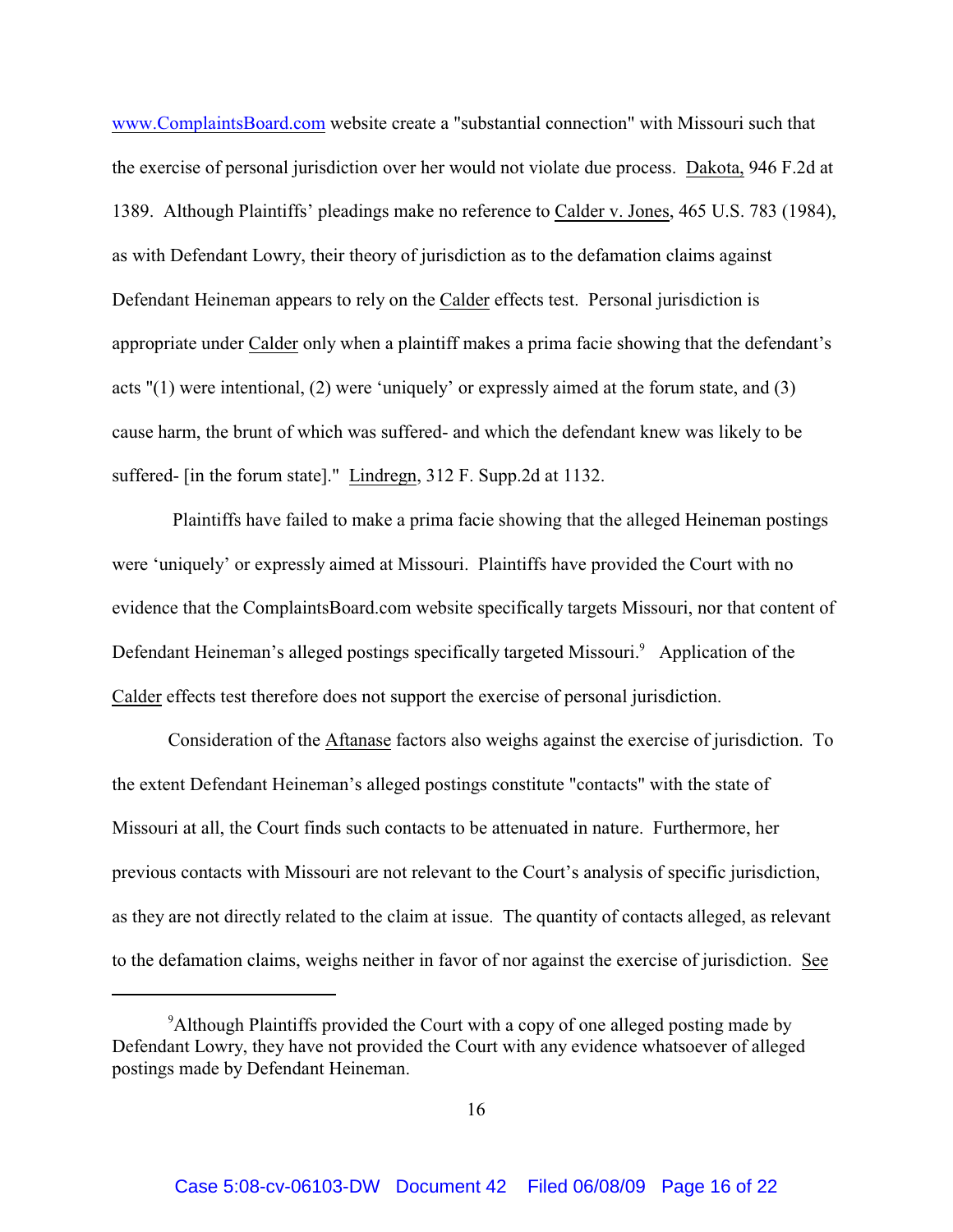[www.ComplaintsBoard.com](http://www.complaintsboard.com) website create a "substantial connection" with Missouri such that the exercise of personal jurisdiction over her would not violate due process. Dakota, 946 F.2d at 1389. Although Plaintiffs' pleadings make no reference to Calder v. Jones, 465 U.S. 783 (1984), as with Defendant Lowry, their theory of jurisdiction as to the defamation claims against Defendant Heineman appears to rely on the Calder effects test. Personal jurisdiction is appropriate under Calder only when a plaintiff makes a prima facie showing that the defendant's acts "(1) were intentional, (2) were 'uniquely' or expressly aimed at the forum state, and (3) cause harm, the brunt of which was suffered- and which the defendant knew was likely to be suffered- [in the forum state]." Lindregn, 312 F. Supp.2d at 1132.

 Plaintiffs have failed to make a prima facie showing that the alleged Heineman postings were 'uniquely' or expressly aimed at Missouri. Plaintiffs have provided the Court with no evidence that the ComplaintsBoard.com website specifically targets Missouri, nor that content of Defendant Heineman's alleged postings specifically targeted Missouri.<sup>9</sup> Application of the Calder effects test therefore does not support the exercise of personal jurisdiction.

Consideration of the Aftanase factors also weighs against the exercise of jurisdiction. To the extent Defendant Heineman's alleged postings constitute "contacts" with the state of Missouri at all, the Court finds such contacts to be attenuated in nature. Furthermore, her previous contacts with Missouri are not relevant to the Court's analysis of specific jurisdiction, as they are not directly related to the claim at issue. The quantity of contacts alleged, as relevant to the defamation claims, weighs neither in favor of nor against the exercise of jurisdiction. See

<sup>&</sup>lt;sup>9</sup> Although Plaintiffs provided the Court with a copy of one alleged posting made by Defendant Lowry, they have not provided the Court with any evidence whatsoever of alleged postings made by Defendant Heineman.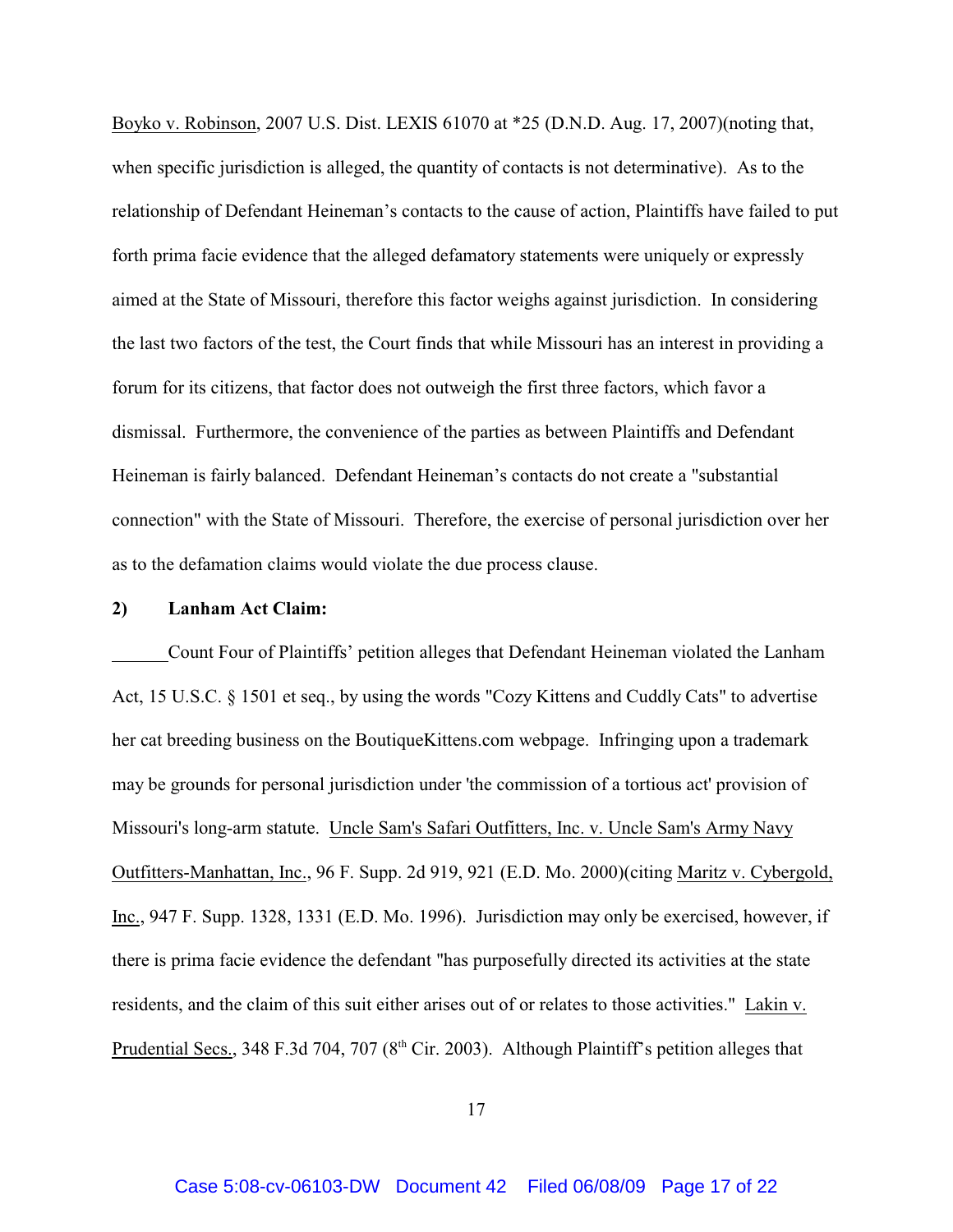Boyko v. Robinson, 2007 U.S. Dist. LEXIS 61070 at \*25 (D.N.D. Aug. 17, 2007)(noting that, when specific jurisdiction is alleged, the quantity of contacts is not determinative). As to the relationship of Defendant Heineman's contacts to the cause of action, Plaintiffs have failed to put forth prima facie evidence that the alleged defamatory statements were uniquely or expressly aimed at the State of Missouri, therefore this factor weighs against jurisdiction. In considering the last two factors of the test, the Court finds that while Missouri has an interest in providing a forum for its citizens, that factor does not outweigh the first three factors, which favor a dismissal. Furthermore, the convenience of the parties as between Plaintiffs and Defendant Heineman is fairly balanced. Defendant Heineman's contacts do not create a "substantial connection" with the State of Missouri. Therefore, the exercise of personal jurisdiction over her as to the defamation claims would violate the due process clause.

#### **2) Lanham Act Claim:**

Count Four of Plaintiffs' petition alleges that Defendant Heineman violated the Lanham Act, 15 U.S.C. § 1501 et seq., by using the words "Cozy Kittens and Cuddly Cats" to advertise her cat breeding business on the BoutiqueKittens.com webpage. Infringing upon a trademark may be grounds for personal jurisdiction under 'the commission of a tortious act' provision of Missouri's long-arm statute. Uncle Sam's Safari Outfitters, Inc. v. Uncle Sam's Army Navy Outfitters-Manhattan, Inc., 96 F. Supp. 2d 919, 921 (E.D. Mo. 2000)(citing Maritz v. Cybergold, Inc., 947 F. Supp. 1328, 1331 (E.D. Mo. 1996). Jurisdiction may only be exercised, however, if there is prima facie evidence the defendant "has purposefully directed its activities at the state residents, and the claim of this suit either arises out of or relates to those activities." Lakin v. Prudential Secs., 348 F.3d 704, 707 ( $8<sup>th</sup>$  Cir. 2003). Although Plaintiff's petition alleges that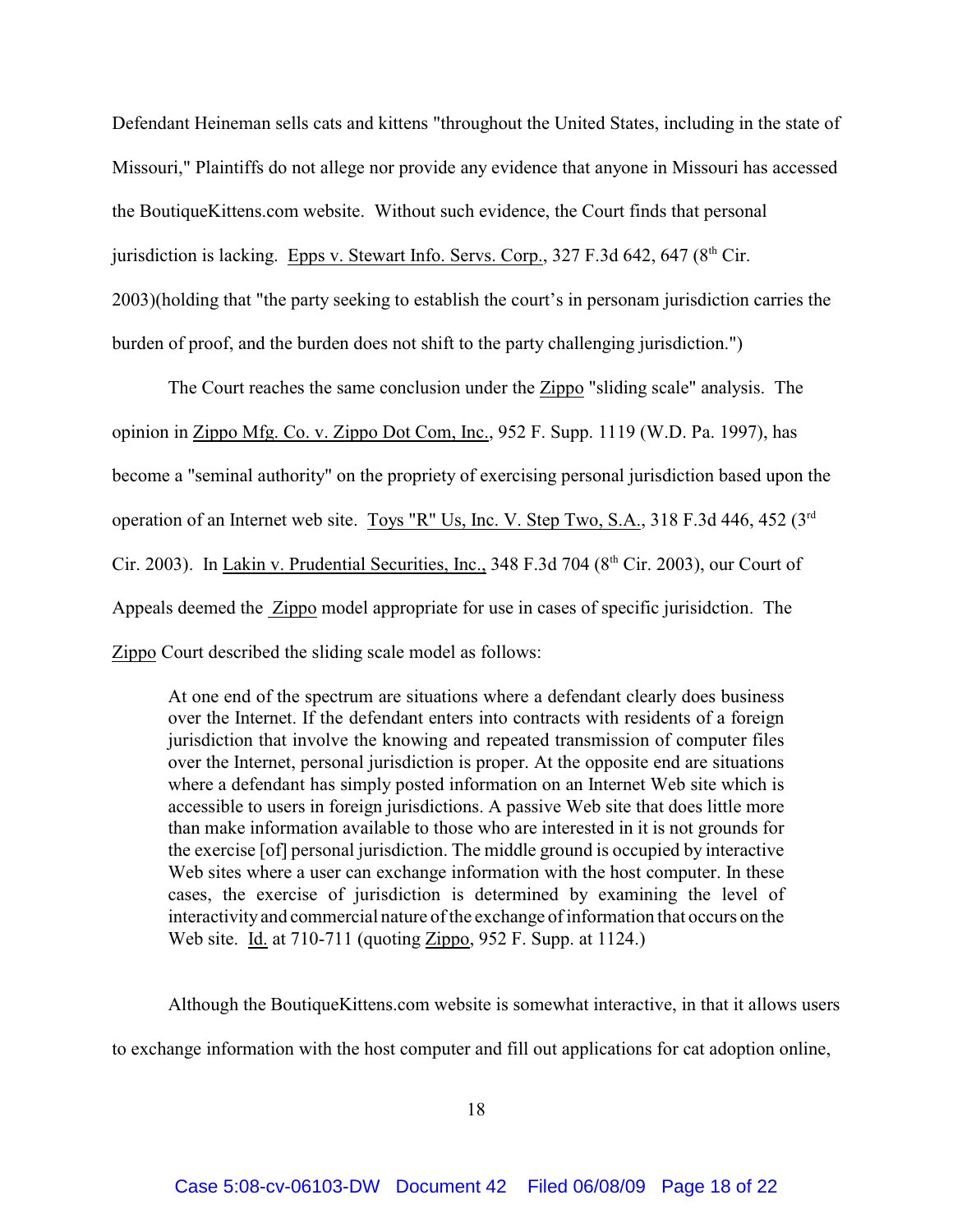Defendant Heineman sells cats and kittens "throughout the United States, including in the state of Missouri," Plaintiffs do not allege nor provide any evidence that anyone in Missouri has accessed the BoutiqueKittens.com website. Without such evidence, the Court finds that personal jurisdiction is lacking. Epps v. Stewart Info. Servs. Corp., 327 F.3d 642, 647 ( $8<sup>th</sup>$  Cir. 2003)(holding that "the party seeking to establish the court's in personam jurisdiction carries the burden of proof, and the burden does not shift to the party challenging jurisdiction.")

The Court reaches the same conclusion under the Zippo "sliding scale" analysis. The opinion in Zippo Mfg. Co. v. Zippo Dot Com, Inc., 952 F. Supp. 1119 (W.D. Pa. 1997), has become a "seminal authority" on the propriety of exercising personal jurisdiction based upon the operation of an Internet web site. Toys "R" Us, Inc. V. Step Two, S.A., 318 F.3d 446, 452 (3<sup>rd</sup>) Cir. 2003). In Lakin v. Prudential Securities, Inc., 348 F.3d 704 ( $8<sup>th</sup>$  Cir. 2003), our Court of Appeals deemed the Zippo model appropriate for use in cases of specific jurisidction. The Zippo Court described the sliding scale model as follows:

At one end of the spectrum are situations where a defendant clearly does business over the Internet. If the defendant enters into contracts with residents of a foreign jurisdiction that involve the knowing and repeated transmission of computer files over the Internet, personal jurisdiction is proper. At the opposite end are situations where a defendant has simply posted information on an Internet Web site which is accessible to users in foreign jurisdictions. A passive Web site that does little more than make information available to those who are interested in it is not grounds for the exercise [of] personal jurisdiction. The middle ground is occupied by interactive Web sites where a user can exchange information with the host computer. In these cases, the exercise of jurisdiction is determined by examining the level of interactivity and commercial nature of the exchange of information that occurs on the Web site. Id. at 710-711 (quoting Zippo, 952 F. Supp. at 1124.)

Although the BoutiqueKittens.com website is somewhat interactive, in that it allows users

to exchange information with the host computer and fill out applications for cat adoption online,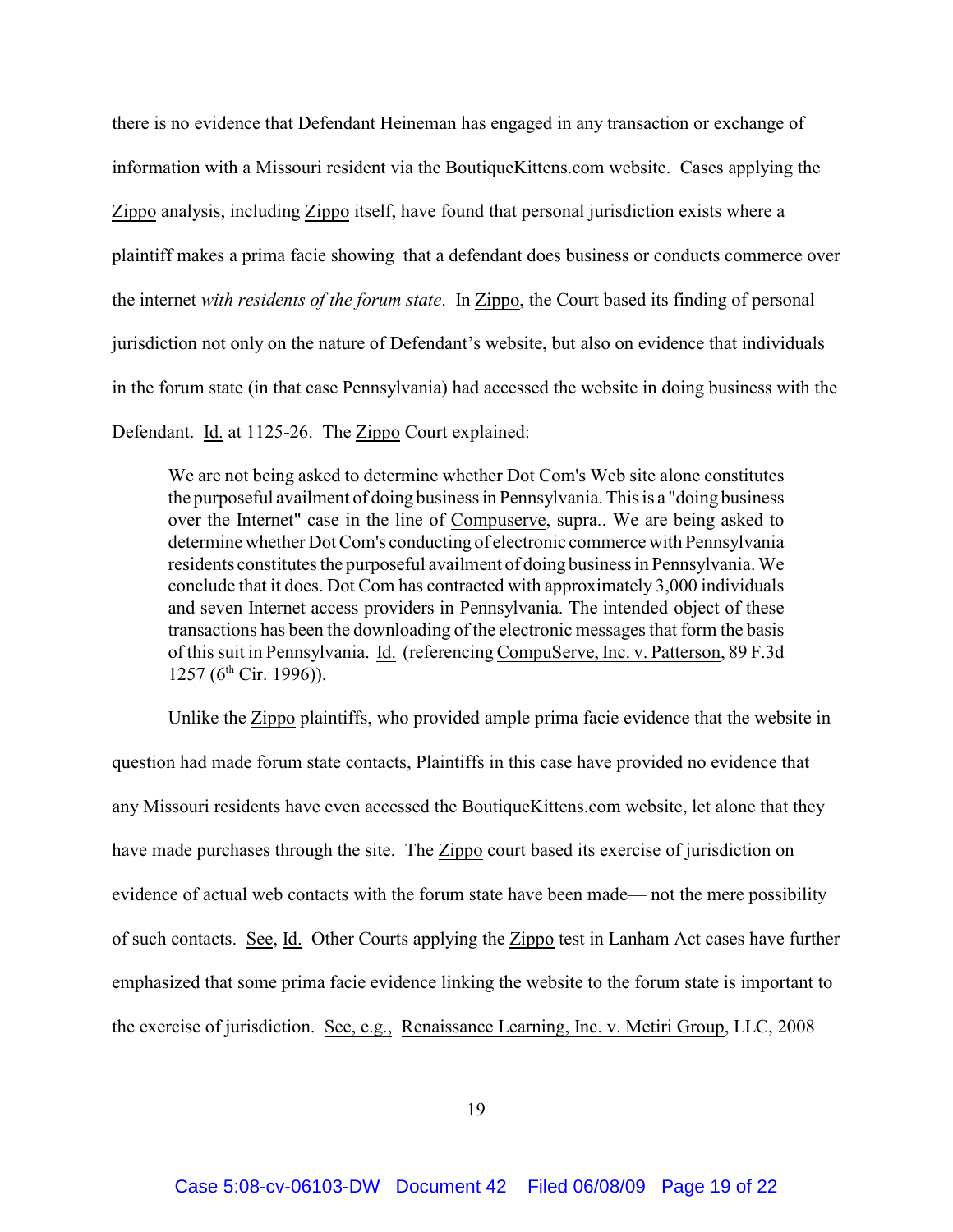there is no evidence that Defendant Heineman has engaged in any transaction or exchange of information with a Missouri resident via the BoutiqueKittens.com website. Cases applying the Zippo analysis, including Zippo itself, have found that personal jurisdiction exists where a plaintiff makes a prima facie showing that a defendant does business or conducts commerce over the internet *with residents of the forum state*. In Zippo, the Court based its finding of personal jurisdiction not only on the nature of Defendant's website, but also on evidence that individuals in the forum state (in that case Pennsylvania) had accessed the website in doing business with the Defendant. Id. at 1125-26. The Zippo Court explained:

We are not being asked to determine whether Dot Com's Web site alone constitutes the purposeful availment of doing business in Pennsylvania. This is a "doing business over the Internet" case in the line of Compuserve, supra.. We are being asked to determine whether Dot Com's conducting of electronic commerce with Pennsylvania residents constitutes the purposeful availment of doing business in Pennsylvania. We conclude that it does. Dot Com has contracted with approximately 3,000 individuals and seven Internet access providers in Pennsylvania. The intended object of these transactions has been the downloading of the electronic messages that form the basis of this suit in Pennsylvania. Id. (referencing CompuServe, Inc. v. Patterson, 89 F.3d 1257 ( $6<sup>th</sup>$  Cir. 1996)).

Unlike the Zippo plaintiffs, who provided ample prima facie evidence that the website in question had made forum state contacts, Plaintiffs in this case have provided no evidence that any Missouri residents have even accessed the BoutiqueKittens.com website, let alone that they have made purchases through the site. The Zippo court based its exercise of jurisdiction on evidence of actual web contacts with the forum state have been made— not the mere possibility of such contacts. See, Id. Other Courts applying the Zippo test in Lanham Act cases have further emphasized that some prima facie evidence linking the website to the forum state is important to the exercise of jurisdiction. See, e.g., Renaissance Learning, Inc. v. Metiri Group, LLC, 2008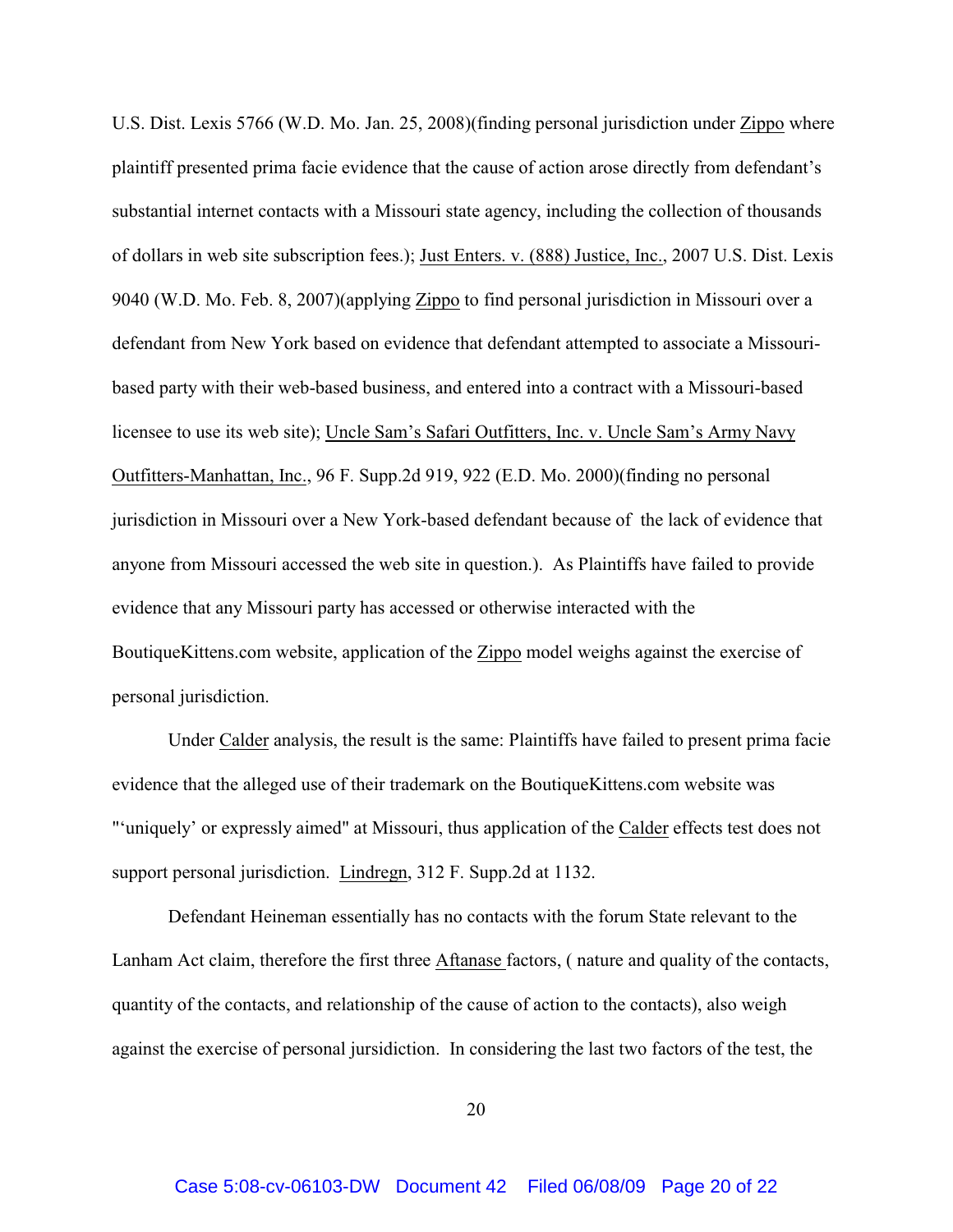U.S. Dist. Lexis 5766 (W.D. Mo. Jan. 25, 2008)(finding personal jurisdiction under Zippo where plaintiff presented prima facie evidence that the cause of action arose directly from defendant's substantial internet contacts with a Missouri state agency, including the collection of thousands of dollars in web site subscription fees.); Just Enters. v. (888) Justice, Inc., 2007 U.S. Dist. Lexis 9040 (W.D. Mo. Feb. 8, 2007)(applying Zippo to find personal jurisdiction in Missouri over a defendant from New York based on evidence that defendant attempted to associate a Missouribased party with their web-based business, and entered into a contract with a Missouri-based licensee to use its web site); Uncle Sam's Safari Outfitters, Inc. v. Uncle Sam's Army Navy Outfitters-Manhattan, Inc., 96 F. Supp.2d 919, 922 (E.D. Mo. 2000)(finding no personal jurisdiction in Missouri over a New York-based defendant because of the lack of evidence that anyone from Missouri accessed the web site in question.). As Plaintiffs have failed to provide evidence that any Missouri party has accessed or otherwise interacted with the BoutiqueKittens.com website, application of the Zippo model weighs against the exercise of personal jurisdiction.

Under Calder analysis, the result is the same: Plaintiffs have failed to present prima facie evidence that the alleged use of their trademark on the BoutiqueKittens.com website was "'uniquely' or expressly aimed" at Missouri, thus application of the Calder effects test does not support personal jurisdiction. Lindregn, 312 F. Supp.2d at 1132.

Defendant Heineman essentially has no contacts with the forum State relevant to the Lanham Act claim, therefore the first three Aftanase factors, ( nature and quality of the contacts, quantity of the contacts, and relationship of the cause of action to the contacts), also weigh against the exercise of personal jursidiction. In considering the last two factors of the test, the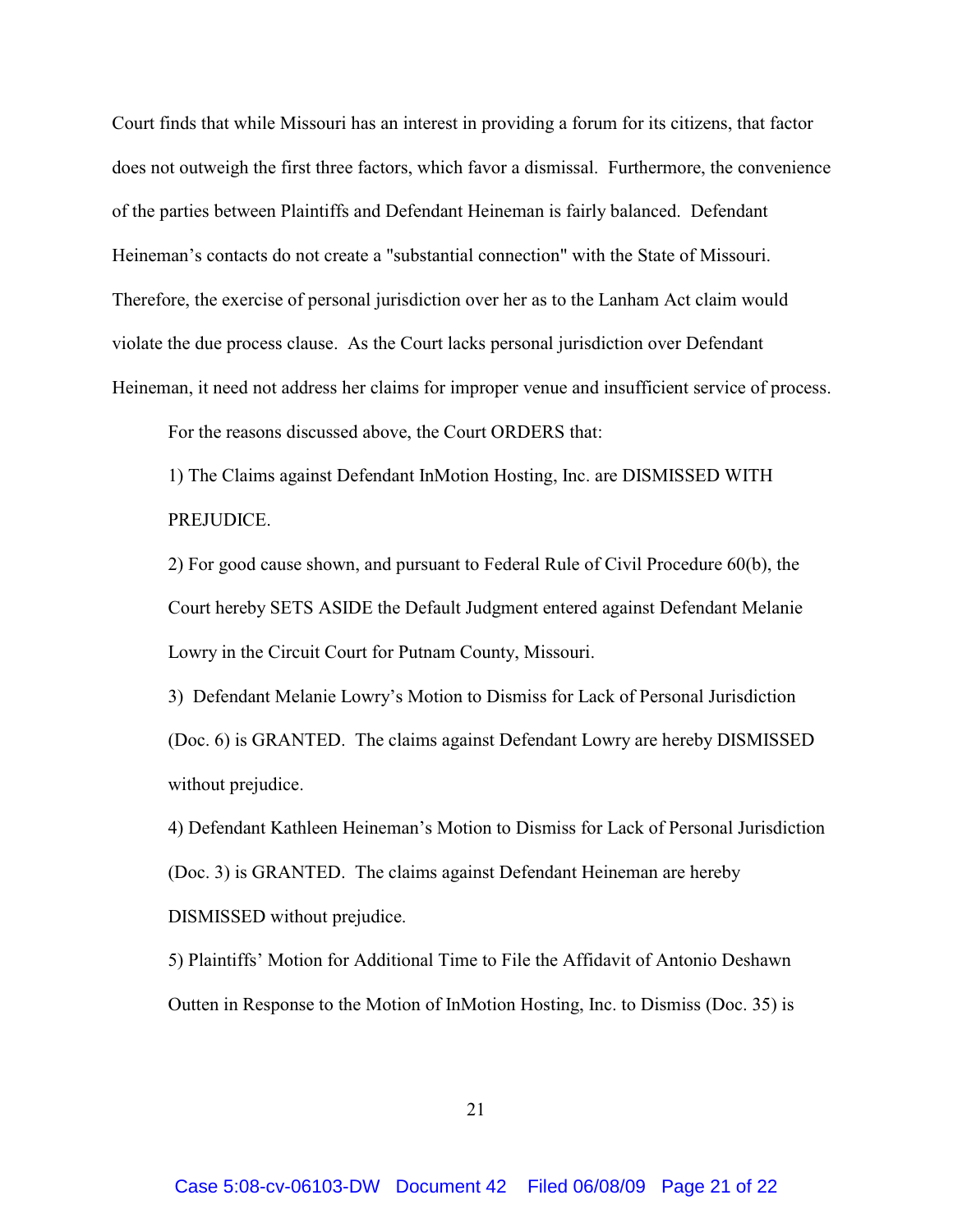Court finds that while Missouri has an interest in providing a forum for its citizens, that factor does not outweigh the first three factors, which favor a dismissal. Furthermore, the convenience of the parties between Plaintiffs and Defendant Heineman is fairly balanced. Defendant Heineman's contacts do not create a "substantial connection" with the State of Missouri. Therefore, the exercise of personal jurisdiction over her as to the Lanham Act claim would violate the due process clause. As the Court lacks personal jurisdiction over Defendant Heineman, it need not address her claims for improper venue and insufficient service of process.

For the reasons discussed above, the Court ORDERS that:

1) The Claims against Defendant InMotion Hosting, Inc. are DISMISSED WITH PREJUDICE.

2) For good cause shown, and pursuant to Federal Rule of Civil Procedure 60(b), the Court hereby SETS ASIDE the Default Judgment entered against Defendant Melanie Lowry in the Circuit Court for Putnam County, Missouri.

3) Defendant Melanie Lowry's Motion to Dismiss for Lack of Personal Jurisdiction (Doc. 6) is GRANTED. The claims against Defendant Lowry are hereby DISMISSED without prejudice.

4) Defendant Kathleen Heineman's Motion to Dismiss for Lack of Personal Jurisdiction (Doc. 3) is GRANTED. The claims against Defendant Heineman are hereby DISMISSED without prejudice.

5) Plaintiffs' Motion for Additional Time to File the Affidavit of Antonio Deshawn Outten in Response to the Motion of InMotion Hosting, Inc. to Dismiss (Doc. 35) is